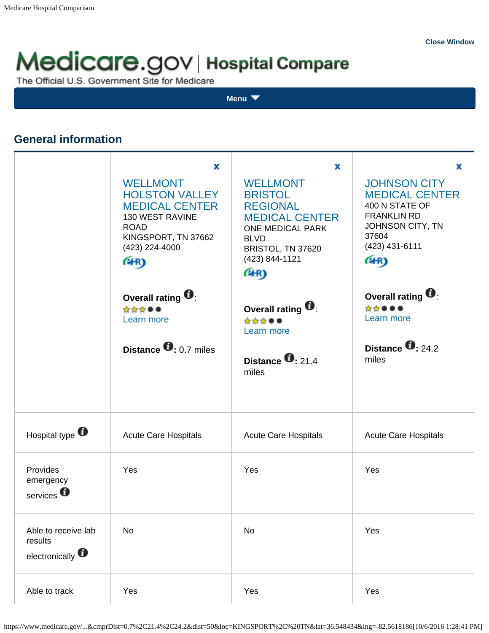# Medicare.gov | Hospital Compare

The Official U.S. Government Site for Medicare

**[Menu](javascript:void(0);)**

# **General information**

|                                                               | x<br><b>WELLMONT</b><br><b>HOLSTON VALLEY</b><br><b>MEDICAL CENTER</b><br>130 WEST RAVINE<br><b>ROAD</b><br>KINGSPORT, TN 37662<br>(423) 224-4000<br>(4R) | x<br><b>WELLMONT</b><br><b>BRISTOL</b><br><b>REGIONAL</b><br><b>MEDICAL CENTER</b><br>ONE MEDICAL PARK<br><b>BLVD</b><br>BRISTOL, TN 37620<br>(423) 844-1121<br>(4R) | x<br><b>JOHNSON CITY</b><br><b>MEDICAL CENTER</b><br>400 N STATE OF<br><b>FRANKLIN RD</b><br>JOHNSON CITY, TN<br>37604<br>(423) 431-6111<br>(4R) |
|---------------------------------------------------------------|-----------------------------------------------------------------------------------------------------------------------------------------------------------|----------------------------------------------------------------------------------------------------------------------------------------------------------------------|--------------------------------------------------------------------------------------------------------------------------------------------------|
|                                                               | Overall rating<br>☆☆☆●●<br>Learn more<br>Distance $\bullet$ : 0.7 miles                                                                                   | Overall rating $\blacksquare$<br>☆☆☆●●<br>Learn more<br>Distance $\bullet$ 21.4<br>miles                                                                             | Overall rating $\blacksquare$<br>☆☆●●●<br>Learn more<br>Distance $\bullet$ 24.2<br>miles                                                         |
| Hospital type                                                 | <b>Acute Care Hospitals</b>                                                                                                                               | <b>Acute Care Hospitals</b>                                                                                                                                          | <b>Acute Care Hospitals</b>                                                                                                                      |
| Provides<br>emergency<br>services <sup>0</sup>                | Yes                                                                                                                                                       | Yes                                                                                                                                                                  | Yes                                                                                                                                              |
| Able to receive lab<br>results<br>electronically <sup>6</sup> | No                                                                                                                                                        | No                                                                                                                                                                   | Yes                                                                                                                                              |
| Able to track                                                 | Yes                                                                                                                                                       | Yes                                                                                                                                                                  | Yes                                                                                                                                              |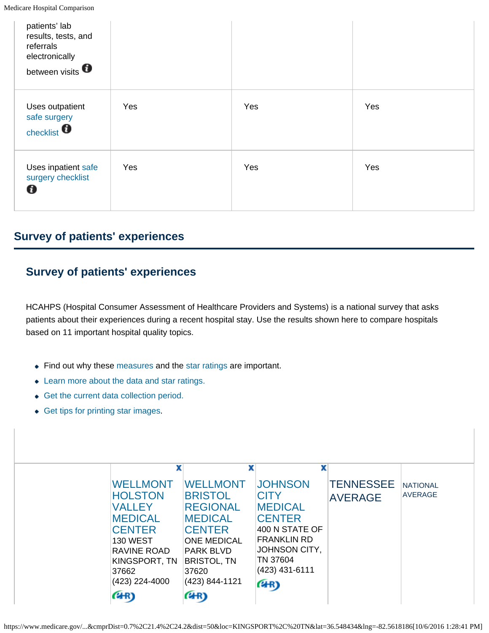| patients' lab<br>results, tests, and<br>referrals<br>electronically<br>between visits <b>O</b> |     |     |     |
|------------------------------------------------------------------------------------------------|-----|-----|-----|
| Uses outpatient<br>safe surgery<br>checklist $\bullet$                                         | Yes | Yes | Yes |
| Uses inpatient safe<br>surgery checklist<br>O                                                  | Yes | Yes | Yes |

# **Survey of patients' experiences**

# **Survey of patients' experiences**

HCAHPS (Hospital Consumer Assessment of Healthcare Providers and Systems) is a national survey that asks patients about their experiences during a recent hospital stay. Use the results shown here to compare hospitals based on 11 important hospital quality topics.

- Find out why these measures and the star ratings are important.
- Learn more about the data and star ratings.
- Get the current data collection period.
- Get tips for printing star images.

| x                                                                                                                                                                                  | x                                                                                                                                                                                          | x                                                                                                                                                                      |                                    |                                   |
|------------------------------------------------------------------------------------------------------------------------------------------------------------------------------------|--------------------------------------------------------------------------------------------------------------------------------------------------------------------------------------------|------------------------------------------------------------------------------------------------------------------------------------------------------------------------|------------------------------------|-----------------------------------|
| <b>WELLMONT</b><br><b>HOLSTON</b><br><b>VALLEY</b><br><b>MEDICAL</b><br><b>CENTER</b><br><b>130 WEST</b><br><b>RAVINE ROAD</b><br>KINGSPORT, TN<br>37662<br>(423) 224-4000<br>(4R) | <b>WELLMONT</b><br><b>BRISTOL</b><br><b>REGIONAL</b><br><b>MEDICAL</b><br><b>CENTER</b><br><b>ONE MEDICAL</b><br><b>PARK BLVD</b><br><b>BRISTOL, TN</b><br>37620<br>(423) 844-1121<br>(4R) | <b>JOHNSON</b><br><b>CITY</b><br><b>MEDICAL</b><br><b>CENTER</b><br>400 N STATE OF<br><b>FRANKLIN RD</b><br><b>JOHNSON CITY,</b><br>TN 37604<br>(423) 431-6111<br>(4R) | <b>TENNESSEE</b><br><b>AVERAGE</b> | <b>NATIONAL</b><br><b>AVERAGE</b> |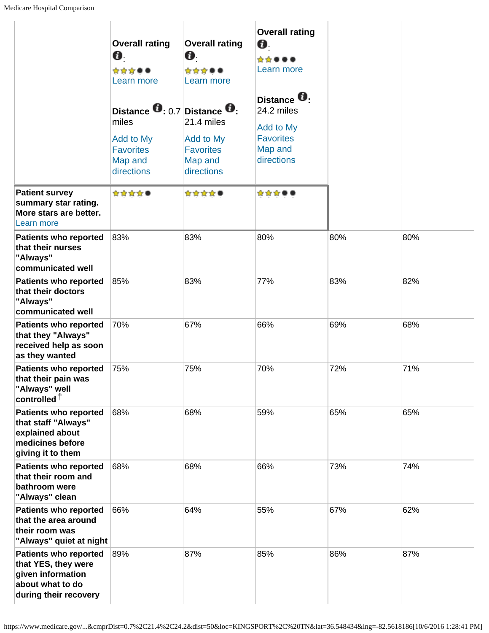| Medicare Hospital Comparison                                                                                          |                                                                                                                        |                                                                      |                                                                           |     |     |  |  |
|-----------------------------------------------------------------------------------------------------------------------|------------------------------------------------------------------------------------------------------------------------|----------------------------------------------------------------------|---------------------------------------------------------------------------|-----|-----|--|--|
|                                                                                                                       | <b>Overall rating</b><br>Ø.<br>☆☆☆●●<br>Learn more                                                                     | <b>Overall rating</b><br>Ø.<br>☆☆☆●●<br>Learn more                   | <b>Overall rating</b><br>Ø.<br>☆☆●●●<br>Learn more<br>Distance <b>U</b> . |     |     |  |  |
|                                                                                                                       | Distance $\mathbf{0}$ : 0.7 Distance $\mathbf{0}$ :<br>miles<br>Add to My<br><b>Favorites</b><br>Map and<br>directions | 21.4 miles<br>Add to My<br><b>Favorites</b><br>Map and<br>directions | 24.2 miles<br>Add to My<br><b>Favorites</b><br>Map and<br>directions      |     |     |  |  |
| <b>Patient survey</b><br>summary star rating.<br>More stars are better.<br>Learn more                                 | ☆☆☆☆●                                                                                                                  | ☆☆☆☆●                                                                | ☆☆☆●●                                                                     |     |     |  |  |
| <b>Patients who reported</b><br>that their nurses<br>"Always"<br>communicated well                                    | 83%                                                                                                                    | 83%                                                                  | 80%                                                                       | 80% | 80% |  |  |
| <b>Patients who reported</b><br>that their doctors<br>"Always"<br>communicated well                                   | 85%                                                                                                                    | 83%                                                                  | 77%                                                                       | 83% | 82% |  |  |
| <b>Patients who reported</b><br>that they "Always"<br>received help as soon<br>as they wanted                         | 70%                                                                                                                    | 67%                                                                  | 66%                                                                       | 69% | 68% |  |  |
| <b>Patients who reported</b><br>that their pain was<br>"Always" well<br>controlled $†$                                | 75%                                                                                                                    | 75%                                                                  | 70%                                                                       | 72% | 71% |  |  |
| <b>Patients who reported</b><br>that staff "Always"<br>explained about<br>medicines before<br>giving it to them       | 68%                                                                                                                    | 68%                                                                  | 59%                                                                       | 65% | 65% |  |  |
| <b>Patients who reported</b><br>that their room and<br>bathroom were<br>"Always" clean                                | 68%                                                                                                                    | 68%                                                                  | 66%                                                                       | 73% | 74% |  |  |
| <b>Patients who reported</b><br>that the area around<br>their room was<br>"Always" quiet at night                     | 66%                                                                                                                    | 64%                                                                  | 55%                                                                       | 67% | 62% |  |  |
| <b>Patients who reported</b><br>that YES, they were<br>given information<br>about what to do<br>during their recovery | 89%                                                                                                                    | 87%                                                                  | 85%                                                                       | 86% | 87% |  |  |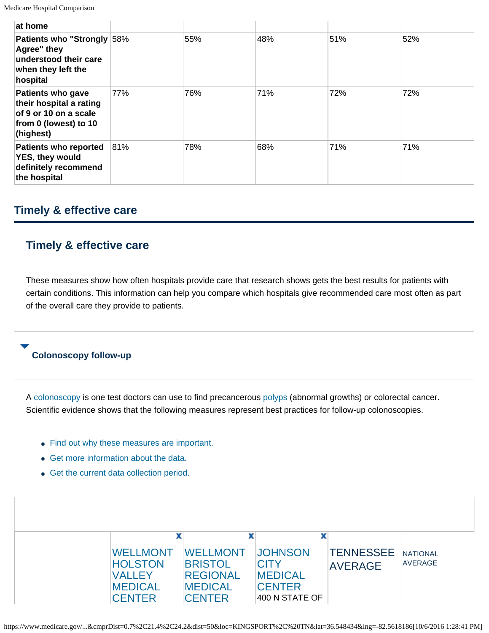| at home                                                                                                            |     |     |     |     |     |
|--------------------------------------------------------------------------------------------------------------------|-----|-----|-----|-----|-----|
| Patients who "Strongly 58%<br>Agree" they<br>understood their care<br>when they left the<br>hospital               |     | 55% | 48% | 51% | 52% |
| <b>Patients who gave</b><br>their hospital a rating<br>of 9 or 10 on a scale<br>from 0 (lowest) to 10<br>(highest) | 77% | 76% | 71% | 72% | 72% |
| <b>Patients who reported</b><br><b>YES, they would</b><br>definitely recommend<br>the hospital                     | 81% | 78% | 68% | 71% | 71% |

# **Timely & effective care**

# **Timely & effective care**

These measures show how often hospitals provide care that research shows gets the best results for patients with certain conditions. This information can help you compare which hospitals give recommended care most often as part of the overall care they provide to patients.

### **Colonoscopy follow-up**

A colonoscopy is one test doctors can use to find precancerous polyps (abnormal growths) or colorectal cancer. Scientific evidence shows that the following measures represent best practices for follow-up colonoscopies.

- Find out why these measures are important.
- ◆ Get more information about the data.
- Get the current data collection period.

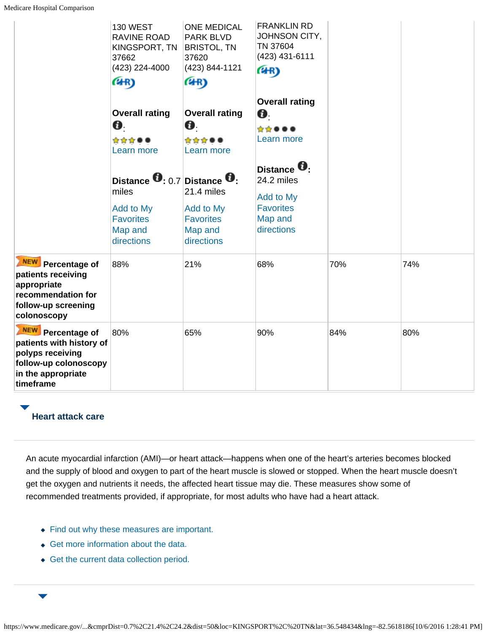|                                                                                                                               | <b>130 WEST</b><br>RAVINE ROAD<br>KINGSPORT, TN<br>37662<br>(423) 224-4000                                             | <b>ONE MEDICAL</b><br>PARK BLVD<br><b>BRISTOL, TN</b><br>37620<br>(423) 844-1121 | <b>FRANKLIN RD</b><br>JOHNSON CITY,<br>TN 37604<br>(423) 431-6111<br>(4R)                   |     |     |
|-------------------------------------------------------------------------------------------------------------------------------|------------------------------------------------------------------------------------------------------------------------|----------------------------------------------------------------------------------|---------------------------------------------------------------------------------------------|-----|-----|
|                                                                                                                               | (4R)                                                                                                                   | (4R)                                                                             |                                                                                             |     |     |
|                                                                                                                               | <b>Overall rating</b><br>$\mathbf{a}$<br>☆☆☆●●<br>Learn more                                                           | <b>Overall rating</b><br>O.<br>☆☆☆●●<br>Learn more                               | <b>Overall rating</b><br>0.<br>☆☆●●●<br>Learn more                                          |     |     |
|                                                                                                                               | Distance $\mathbf{0}$ : 0.7 Distance $\mathbf{0}$ :<br>miles<br>Add to My<br><b>Favorites</b><br>Map and<br>directions | 21.4 miles<br>Add to My<br><b>Favorites</b><br>Map and<br>directions             | Distance <b>U</b> .<br>24.2 miles<br>Add to My<br><b>Favorites</b><br>Map and<br>directions |     |     |
| NEW Percentage of<br>patients receiving<br>appropriate<br>recommendation for<br>follow-up screening<br>colonoscopy            | 88%                                                                                                                    | 21%                                                                              | 68%                                                                                         | 70% | 74% |
| NEW Percentage of<br>patients with history of<br>polyps receiving<br>follow-up colonoscopy<br>in the appropriate<br>timeframe | 80%                                                                                                                    | 65%                                                                              | 90%                                                                                         | 84% | 80% |

# **Heart attack care**

An acute myocardial infarction (AMI)—or heart attack—happens when one of the heart's arteries becomes blocked and the supply of blood and oxygen to part of the heart muscle is slowed or stopped. When the heart muscle doesn't get the oxygen and nutrients it needs, the affected heart tissue may die. These measures show some of recommended treatments provided, if appropriate, for most adults who have had a heart attack.

- Find out why these measures are important.
- Get more information about the data.
- Get the current data collection period.

 $\overline{\phantom{0}}$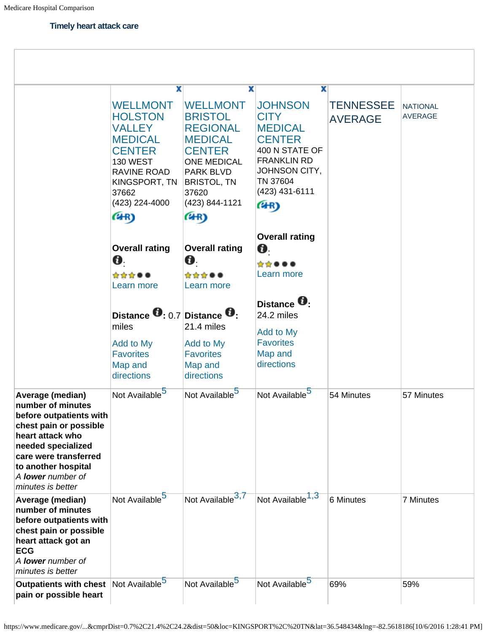#### **Timely heart attack care**

|                                                                                                                                                                                                                                       | x                                                                                                                                                                           | x                                                                                                                                                                                   | x                                                                                                                                                                           |                                    |                                   |
|---------------------------------------------------------------------------------------------------------------------------------------------------------------------------------------------------------------------------------------|-----------------------------------------------------------------------------------------------------------------------------------------------------------------------------|-------------------------------------------------------------------------------------------------------------------------------------------------------------------------------------|-----------------------------------------------------------------------------------------------------------------------------------------------------------------------------|------------------------------------|-----------------------------------|
|                                                                                                                                                                                                                                       | <b>WELLMONT</b><br><b>HOLSTON</b><br><b>VALLEY</b><br><b>MEDICAL</b><br><b>CENTER</b><br><b>130 WEST</b><br>RAVINE ROAD<br>KINGSPORT, TN<br>37662<br>(423) 224-4000<br>(4R) | <b>WELLMONT</b><br><b>BRISTOL</b><br><b>REGIONAL</b><br><b>MEDICAL</b><br><b>CENTER</b><br><b>ONE MEDICAL</b><br>PARK BLVD<br><b>BRISTOL, TN</b><br>37620<br>(423) 844-1121<br>(4R) | <b>JOHNSON</b><br><b>CITY</b><br><b>MEDICAL</b><br><b>CENTER</b><br>400 N STATE OF<br><b>FRANKLIN RD</b><br>JOHNSON CITY,<br>TN 37604<br>(423) 431-6111<br>(4R)             | <b>TENNESSEE</b><br><b>AVERAGE</b> | <b>NATIONAL</b><br><b>AVERAGE</b> |
|                                                                                                                                                                                                                                       | <b>Overall rating</b><br>Ø.<br>☆☆☆●●<br>Learn more<br>Distance $\bullet$ : 0.7 Distance $\bullet$ :<br>miles<br>Add to My<br><b>Favorites</b><br>Map and<br>directions      | <b>Overall rating</b><br>0.<br>☆☆☆●●<br>Learn more<br>21.4 miles<br>Add to My<br><b>Favorites</b><br>Map and<br>directions                                                          | <b>Overall rating</b><br>$\boldsymbol{\theta}$<br>☆☆●●●<br>Learn more<br>Distance <b>U</b> .<br>24.2 miles<br><b>Add to My</b><br><b>Favorites</b><br>Map and<br>directions |                                    |                                   |
| Average (median)<br>number of minutes<br>before outpatients with<br>chest pain or possible<br>heart attack who<br>needed specialized<br>care were transferred<br>to another hospital<br>A <b>lower</b> number of<br>minutes is better | Not Available <sup>5</sup>                                                                                                                                                  | Not Available <sup>5</sup>                                                                                                                                                          | Not Available <sup>5</sup>                                                                                                                                                  | 54 Minutes                         | 57 Minutes                        |
| Average (median)<br>number of minutes<br>before outpatients with<br>chest pain or possible<br>heart attack got an<br><b>ECG</b><br>A lower number of<br>minutes is better                                                             | Not Available <sup>5</sup>                                                                                                                                                  | Not Available <sup>3,7</sup>                                                                                                                                                        | Not Available <sup>1,3</sup>                                                                                                                                                | 6 Minutes                          | <b>7 Minutes</b>                  |
| Outpatients with chest Not Available <sup>5</sup><br>pain or possible heart                                                                                                                                                           |                                                                                                                                                                             | Not Available <sup>5</sup>                                                                                                                                                          | Not Available <sup>5</sup>                                                                                                                                                  | 69%                                | 59%                               |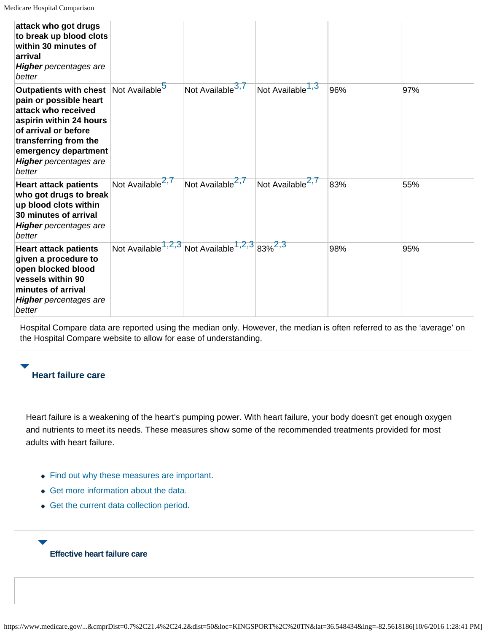| attack who got drugs<br>to break up blood clots<br>within 30 minutes of<br>arrival<br><b>Higher</b> percentages are<br>better                                                                                                 |                               |                                                                                  |                              |     |     |
|-------------------------------------------------------------------------------------------------------------------------------------------------------------------------------------------------------------------------------|-------------------------------|----------------------------------------------------------------------------------|------------------------------|-----|-----|
| <b>Outpatients with chest</b><br>pain or possible heart<br>attack who received<br>aspirin within 24 hours<br>of arrival or before<br>transferring from the<br>emergency department<br><b>Higher</b> percentages are<br>better | Not Available <sup>5</sup>    | Not Available <sup>3,7</sup>                                                     | Not Available <sup>1,3</sup> | 96% | 97% |
| <b>Heart attack patients</b><br>who got drugs to break<br>up blood clots within<br>30 minutes of arrival<br><b>Higher</b> percentages are<br>better                                                                           | Not Available <sup>2, /</sup> | Not Available <sup>2,7</sup>                                                     | Not Available <sup>2,7</sup> | 83% | 55% |
| <b>Heart attack patients</b><br>given a procedure to<br>open blocked blood<br>vessels within 90<br>minutes of arrival<br><b>Higher</b> percentages are<br>better                                                              |                               | Not Available <sup>1,2,3</sup> Not Available <sup>1,2,3</sup> 83% <sup>2,3</sup> |                              | 98% | 95% |

Hospital Compare data are reported using the median only. However, the median is often referred to as the 'average' on the Hospital Compare website to allow for ease of understanding.

### **Heart failure care**

Heart failure is a weakening of the heart's pumping power. With heart failure, your body doesn't get enough oxygen and nutrients to meet its needs. These measures show some of the recommended treatments provided for most adults with heart failure.

- Find out why these measures are important.
- Get more information about the data.
- Get the current data collection period.

### **Effective heart failure care**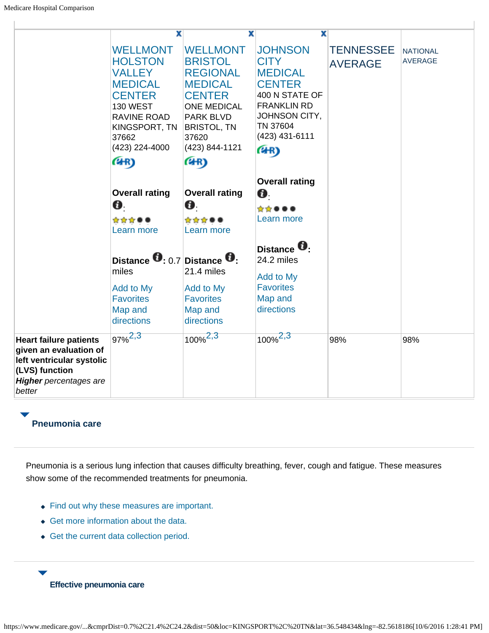|                                                                                                                                                   | X                                                                                                                                                                           | x                                                                                                                                                                                          | x                                                                                                                                                               |                                    |                                   |
|---------------------------------------------------------------------------------------------------------------------------------------------------|-----------------------------------------------------------------------------------------------------------------------------------------------------------------------------|--------------------------------------------------------------------------------------------------------------------------------------------------------------------------------------------|-----------------------------------------------------------------------------------------------------------------------------------------------------------------|------------------------------------|-----------------------------------|
|                                                                                                                                                   | <b>WELLMONT</b><br><b>HOLSTON</b><br><b>VALLEY</b><br><b>MEDICAL</b><br><b>CENTER</b><br><b>130 WEST</b><br>RAVINE ROAD<br>KINGSPORT, TN<br>37662<br>(423) 224-4000<br>(4R) | <b>WELLMONT</b><br><b>BRISTOL</b><br><b>REGIONAL</b><br><b>MEDICAL</b><br><b>CENTER</b><br><b>ONE MEDICAL</b><br><b>PARK BLVD</b><br><b>BRISTOL, TN</b><br>37620<br>(423) 844-1121<br>(4R) | <b>JOHNSON</b><br><b>CITY</b><br><b>MEDICAL</b><br><b>CENTER</b><br>400 N STATE OF<br><b>FRANKLIN RD</b><br>JOHNSON CITY,<br>TN 37604<br>(423) 431-6111<br>(4R) | <b>TENNESSEE</b><br><b>AVERAGE</b> | <b>NATIONAL</b><br><b>AVERAGE</b> |
|                                                                                                                                                   |                                                                                                                                                                             |                                                                                                                                                                                            | <b>Overall rating</b>                                                                                                                                           |                                    |                                   |
|                                                                                                                                                   | <b>Overall rating</b>                                                                                                                                                       | <b>Overall rating</b>                                                                                                                                                                      | O.                                                                                                                                                              |                                    |                                   |
|                                                                                                                                                   | O.                                                                                                                                                                          | O.                                                                                                                                                                                         | *****                                                                                                                                                           |                                    |                                   |
|                                                                                                                                                   | ☆☆☆●●                                                                                                                                                                       | ☆☆☆●●                                                                                                                                                                                      | Learn more                                                                                                                                                      |                                    |                                   |
|                                                                                                                                                   | Learn more                                                                                                                                                                  | Learn more                                                                                                                                                                                 |                                                                                                                                                                 |                                    |                                   |
|                                                                                                                                                   | Distance $\mathbf{0}$ : 0.7 Distance $\mathbf{0}$ :<br>miles<br>Add to My<br><b>Favorites</b><br>Map and<br>directions                                                      | 21.4 miles<br>Add to My<br><b>Favorites</b><br>Map and<br>directions                                                                                                                       | Distance <b>D</b> .<br>24.2 miles<br>Add to My<br><b>Favorites</b><br>Map and<br>directions                                                                     |                                    |                                   |
| <b>Heart failure patients</b><br>given an evaluation of<br>left ventricular systolic<br>(LVS) function<br><b>Higher</b> percentages are<br>better | $97\%^{2,3}$                                                                                                                                                                | $100\%^{2,3}$                                                                                                                                                                              | $100\%^{2,3}$                                                                                                                                                   | 98%                                | 98%                               |

# **Pneumonia care**

Pneumonia is a serious lung infection that causes difficulty breathing, fever, cough and fatigue. These measures show some of the recommended treatments for pneumonia.

- Find out why these measures are important.
- Get more information about the data.
- Get the current data collection period.
	- **Effective pneumonia care**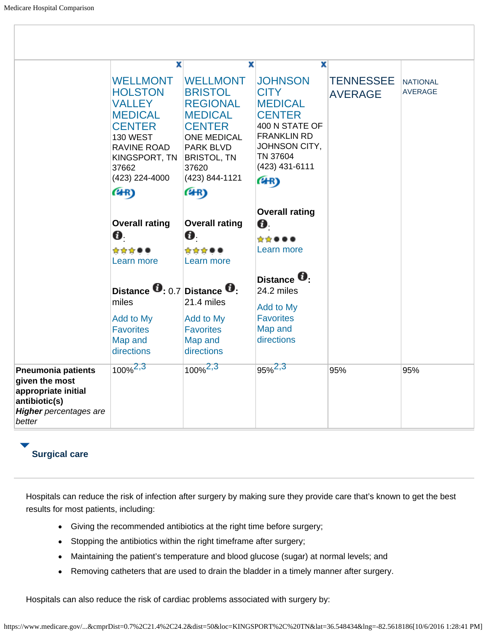|                                                                                                                                | $\overline{\mathbf{x}}$                                                                                                                                                     | x                                                                                                                                                                                          | x                                                                                                                                                               |                                    |                                   |
|--------------------------------------------------------------------------------------------------------------------------------|-----------------------------------------------------------------------------------------------------------------------------------------------------------------------------|--------------------------------------------------------------------------------------------------------------------------------------------------------------------------------------------|-----------------------------------------------------------------------------------------------------------------------------------------------------------------|------------------------------------|-----------------------------------|
|                                                                                                                                | <b>WELLMONT</b><br><b>HOLSTON</b><br><b>VALLEY</b><br><b>MEDICAL</b><br><b>CENTER</b><br><b>130 WEST</b><br>RAVINE ROAD<br>KINGSPORT, TN<br>37662<br>(423) 224-4000<br>(4R) | <b>WELLMONT</b><br><b>BRISTOL</b><br><b>REGIONAL</b><br><b>MEDICAL</b><br><b>CENTER</b><br><b>ONE MEDICAL</b><br><b>PARK BLVD</b><br><b>BRISTOL, TN</b><br>37620<br>(423) 844-1121<br>(4R) | <b>JOHNSON</b><br><b>CITY</b><br><b>MEDICAL</b><br><b>CENTER</b><br>400 N STATE OF<br><b>FRANKLIN RD</b><br>JOHNSON CITY,<br>TN 37604<br>(423) 431-6111<br>(4R) | <b>TENNESSEE</b><br><b>AVERAGE</b> | <b>NATIONAL</b><br><b>AVERAGE</b> |
|                                                                                                                                | <b>Overall rating</b><br>Ø.<br>☆☆☆●●<br>Learn more                                                                                                                          | <b>Overall rating</b><br>O.<br>☆☆☆●●<br>Learn more                                                                                                                                         | <b>Overall rating</b><br>Ø.<br>☆☆●●●<br>Learn more                                                                                                              |                                    |                                   |
|                                                                                                                                | Distance $\mathbf{0}$ : 0.7 Distance $\mathbf{0}$ :<br>miles<br>Add to My<br><b>Favorites</b><br>Map and<br>directions                                                      | 21.4 miles<br>Add to My<br><b>Favorites</b><br>Map and<br>directions                                                                                                                       | Distance <b>D</b> :<br>24.2 miles<br>Add to My<br><b>Favorites</b><br>Map and<br>directions                                                                     |                                    |                                   |
| <b>Pneumonia patients</b><br>given the most<br>appropriate initial<br>antibiotic(s)<br><b>Higher</b> percentages are<br>better | $100\%^{2,3}$                                                                                                                                                               | $100\%^{2,3}$                                                                                                                                                                              | $95\%^{2,3}$                                                                                                                                                    | 95%                                | 95%                               |

# **Surgical care**

Hospitals can reduce the risk of infection after surgery by making sure they provide care that's known to get the best results for most patients, including:

- Giving the recommended antibiotics at the right time before surgery;
- Stopping the antibiotics within the right timeframe after surgery;
- Maintaining the patient's temperature and blood glucose (sugar) at normal levels; and
- Removing catheters that are used to drain the bladder in a timely manner after surgery.  $\bullet$

Hospitals can also reduce the risk of cardiac problems associated with surgery by: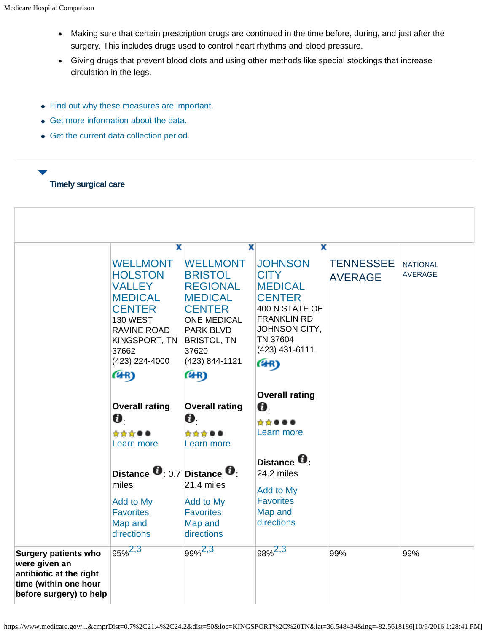- Making sure that certain prescription drugs are continued in the time before, during, and just after the surgery. This includes drugs used to control heart rhythms and blood pressure.
- Giving drugs that prevent blood clots and using other methods like special stockings that increase circulation in the legs.
- Find out why these measures are important.
- Get more information about the data.
- Get the current data collection period.
- 

#### **Timely surgical care**

|                                                                                                                             | x<br><b>WELLMONT</b><br><b>HOLSTON</b><br><b>VALLEY</b><br><b>MEDICAL</b><br><b>CENTER</b><br><b>130 WEST</b><br><b>RAVINE ROAD</b><br>KINGSPORT, TN<br>37662<br>(423) 224-4000 | x<br><b>WELLMONT</b><br><b>BRISTOL</b><br><b>REGIONAL</b><br><b>MEDICAL</b><br><b>CENTER</b><br><b>ONE MEDICAL</b><br><b>PARK BLVD</b><br><b>BRISTOL, TN</b><br>37620<br>(423) 844-1121 | x<br><b>JOHNSON</b><br><b>CITY</b><br><b>MEDICAL</b><br><b>CENTER</b><br>400 N STATE OF<br><b>FRANKLIN RD</b><br>JOHNSON CITY,<br>TN 37604<br>(423) 431-6111<br>(4R) | <b>TENNESSEE</b><br><b>AVERAGE</b> | <b>NATIONAL</b><br><b>AVERAGE</b> |
|-----------------------------------------------------------------------------------------------------------------------------|---------------------------------------------------------------------------------------------------------------------------------------------------------------------------------|-----------------------------------------------------------------------------------------------------------------------------------------------------------------------------------------|----------------------------------------------------------------------------------------------------------------------------------------------------------------------|------------------------------------|-----------------------------------|
|                                                                                                                             | (4R)<br><b>Overall rating</b><br>O.<br>☆☆☆●●<br>Learn more                                                                                                                      | (4R)<br><b>Overall rating</b><br>Ø.<br>☆☆☆●●<br>Learn more                                                                                                                              | <b>Overall rating</b><br>Ø.<br>☆☆●●●<br>Learn more                                                                                                                   |                                    |                                   |
|                                                                                                                             | Distance $\mathbf{0}$ : 0.7 Distance $\mathbf{0}$ :<br>miles<br>Add to My<br><b>Favorites</b><br>Map and<br>directions                                                          | 21.4 miles<br>Add to My<br><b>Favorites</b><br>Map and<br>directions                                                                                                                    | Distance <sup>1</sup><br>24.2 miles<br>Add to My<br><b>Favorites</b><br>Map and<br>directions                                                                        |                                    |                                   |
| <b>Surgery patients who</b><br>were given an<br>antibiotic at the right<br>time (within one hour<br>before surgery) to help | $95\%^{2,3}$                                                                                                                                                                    | $99\%^{2,3}$                                                                                                                                                                            | 98% <sup>2,3</sup>                                                                                                                                                   | 99%                                | 99%                               |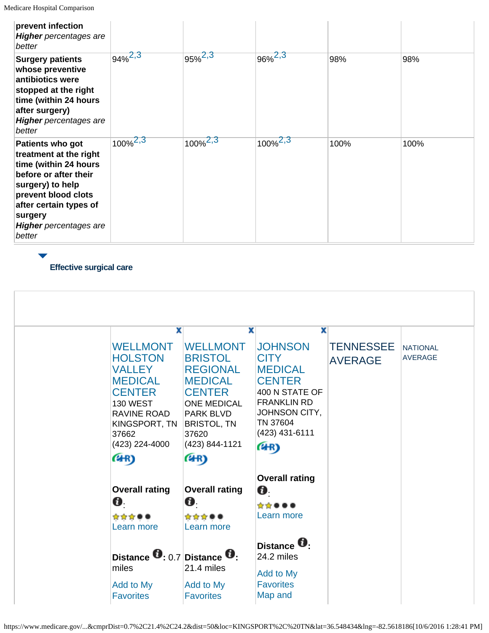| prevent infection<br><b>Higher</b> percentages are<br>better                                                                                                                                                            |               |               |               |      |      |
|-------------------------------------------------------------------------------------------------------------------------------------------------------------------------------------------------------------------------|---------------|---------------|---------------|------|------|
| <b>Surgery patients</b><br>whose preventive<br>antibiotics were<br>stopped at the right<br>time (within 24 hours<br>after surgery)<br><b>Higher</b> percentages are<br>better                                           | $94\%^{2,3}$  | $95\%^{2,3}$  | $96\%^{2,3}$  | 98%  | 98%  |
| Patients who got<br>treatment at the right<br>time (within 24 hours<br>before or after their<br>surgery) to help<br>prevent blood clots<br>after certain types of<br>surgery<br><b>Higher</b> percentages are<br>better | $100\%^{2,3}$ | $100\%^{2,3}$ | $100\%^{2,3}$ | 100% | 100% |

**Effective surgical care**

| X<br><b>WELLMONT</b><br><b>HOLSTON</b><br><b>VALLEY</b><br><b>MEDICAL</b><br><b>CENTER</b><br><b>130 WEST</b><br>RAVINE ROAD<br>KINGSPORT, TN<br>37662<br>(423) 224-4000<br>(4R) | x<br><b>WELLMONT</b><br><b>BRISTOL</b><br><b>REGIONAL</b><br><b>MEDICAL</b><br><b>CENTER</b><br><b>ONE MEDICAL</b><br><b>PARK BLVD</b><br><b>BRISTOL, TN</b><br>37620<br>(423) 844-1121<br>(4R) | x<br><b>JOHNSON</b><br><b>CITY</b><br><b>MEDICAL</b><br><b>CENTER</b><br>400 N STATE OF<br><b>FRANKLIN RD</b><br>JOHNSON CITY,<br>TN 37604<br>(423) 431-6111<br>(4R) | <b>TENNESSEE</b><br><b>AVERAGE</b> | <b>NATIONAL</b><br><b>AVERAGE</b> |
|----------------------------------------------------------------------------------------------------------------------------------------------------------------------------------|-------------------------------------------------------------------------------------------------------------------------------------------------------------------------------------------------|----------------------------------------------------------------------------------------------------------------------------------------------------------------------|------------------------------------|-----------------------------------|
| <b>Overall rating</b><br>Ø.<br>☆☆☆●●<br>Learn more                                                                                                                               | <b>Overall rating</b><br>Ø.<br>☆☆☆●●<br>Learn more                                                                                                                                              | <b>Overall rating</b><br>Ø.<br>☆☆●●●<br>Learn more                                                                                                                   |                                    |                                   |
| Distance $\mathbf{0}$ : 0.7 Distance $\mathbf{0}$ :<br>miles<br>Add to My<br><b>Favorites</b>                                                                                    | 21.4 miles<br><b>Add to My</b><br><b>Favorites</b>                                                                                                                                              | Distance <sup>U</sup> :<br>24.2 miles<br>Add to My<br><b>Favorites</b><br>Map and                                                                                    |                                    |                                   |

https://www.medicare.gov/...&cmprDist=0.7%2C21.4%2C24.2&dist=50&loc=KINGSPORT%2C%20TN&lat=36.548434&lng=-82.5618186[10/6/2016 1:28:41 PM]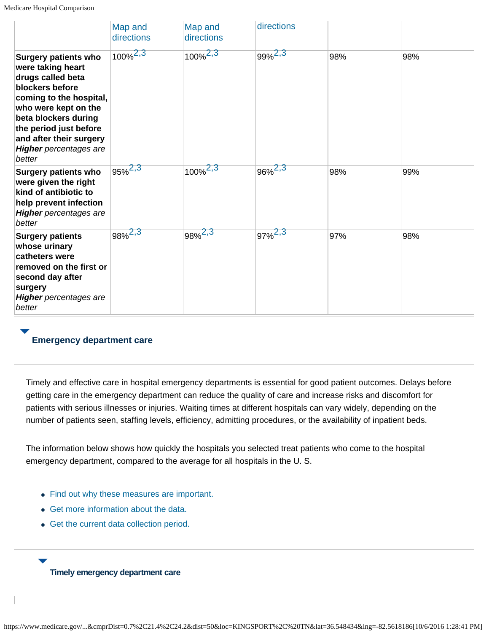|                                                                                                                                                                                                                                                                     | Map and<br>directions | Map and<br>directions | directions         |     |     |
|---------------------------------------------------------------------------------------------------------------------------------------------------------------------------------------------------------------------------------------------------------------------|-----------------------|-----------------------|--------------------|-----|-----|
| <b>Surgery patients who</b><br>were taking heart<br>drugs called beta<br>blockers before<br>coming to the hospital,<br>who were kept on the<br>beta blockers during<br>the period just before<br>and after their surgery<br><b>Higher</b> percentages are<br>better | $100\%^{2,3}$         | $100\%^{2,3}$         | $99\%^{2,3}$       | 98% | 98% |
| <b>Surgery patients who</b><br>were given the right<br>kind of antibiotic to<br>help prevent infection<br><b>Higher</b> percentages are<br>better                                                                                                                   | $95\%^{2,3}$          | $100\%^{2,3}$         | 96% <sup>2,3</sup> | 98% | 99% |
| <b>Surgery patients</b><br>whose urinary<br>catheters were<br>removed on the first or<br>second day after<br>surgery<br><b>Higher</b> percentages are<br>better                                                                                                     | $98\%^{2,3}$          | 98% <sup>2,3</sup>    | $97\%^{2,3}$       | 97% | 98% |

### **Emergency department care**

Timely and effective care in hospital emergency departments is essential for good patient outcomes. Delays before getting care in the emergency department can reduce the quality of care and increase risks and discomfort for patients with serious illnesses or injuries. Waiting times at different hospitals can vary widely, depending on the number of patients seen, staffing levels, efficiency, admitting procedures, or the availability of inpatient beds.

The information below shows how quickly the hospitals you selected treat patients who come to the hospital emergency department, compared to the average for all hospitals in the U. S.

- Find out why these measures are important.
- Get more information about the data.
- Get the current data collection period.

#### **Timely emergency department care**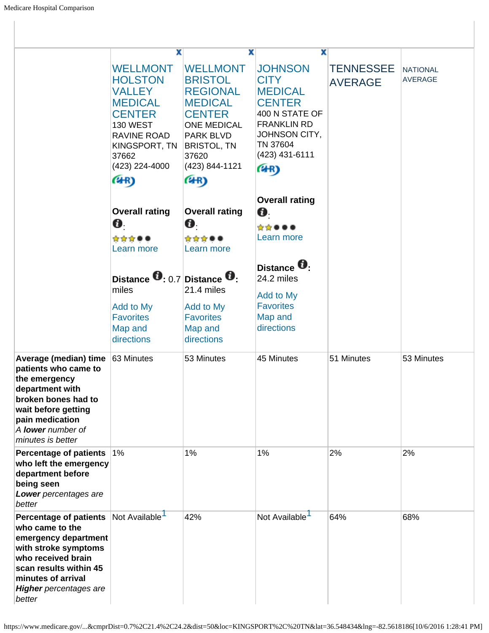|                                                                                                                                                                                                                   | x                                                                                                                                                                    | x                                                                                                                                                                                          | x                                                                                                                                                               |                                    |                                   |
|-------------------------------------------------------------------------------------------------------------------------------------------------------------------------------------------------------------------|----------------------------------------------------------------------------------------------------------------------------------------------------------------------|--------------------------------------------------------------------------------------------------------------------------------------------------------------------------------------------|-----------------------------------------------------------------------------------------------------------------------------------------------------------------|------------------------------------|-----------------------------------|
|                                                                                                                                                                                                                   | <b>WELLMONT</b><br><b>HOLSTON</b><br>VALLEY<br><b>MEDICAL</b><br><b>CENTER</b><br><b>130 WEST</b><br>RAVINE ROAD<br>KINGSPORT, TN<br>37662<br>(423) 224-4000<br>(4R) | <b>WELLMONT</b><br><b>BRISTOL</b><br><b>REGIONAL</b><br><b>MEDICAL</b><br><b>CENTER</b><br><b>ONE MEDICAL</b><br><b>PARK BLVD</b><br><b>BRISTOL, TN</b><br>37620<br>(423) 844-1121<br>(4R) | <b>JOHNSON</b><br><b>CITY</b><br><b>MEDICAL</b><br><b>CENTER</b><br>400 N STATE OF<br><b>FRANKLIN RD</b><br>JOHNSON CITY,<br>TN 37604<br>(423) 431-6111<br>(4R) | <b>TENNESSEE</b><br><b>AVERAGE</b> | <b>NATIONAL</b><br><b>AVERAGE</b> |
|                                                                                                                                                                                                                   | <b>Overall rating</b><br>Ø.<br>☆☆☆●●<br>Learn more                                                                                                                   | <b>Overall rating</b><br>Ø.<br>☆☆☆●●<br>Learn more                                                                                                                                         | <b>Overall rating</b><br>O.<br>☆☆●●●<br>Learn more                                                                                                              |                                    |                                   |
|                                                                                                                                                                                                                   | Distance $\mathbf{0}$ : 0.7 Distance $\mathbf{0}$ :<br>miles<br>Add to My<br><b>Favorites</b><br>Map and<br>directions                                               | 21.4 miles<br>Add to My<br><b>Favorites</b><br>Map and<br>directions                                                                                                                       | Distance <b>U</b> :<br>24.2 miles<br>Add to My<br><b>Favorites</b><br>Map and<br>directions                                                                     |                                    |                                   |
| Average (median) time<br>patients who came to<br>the emergency<br>department with<br>broken bones had to<br>wait before getting<br>pain medication<br>A lower number of<br>minutes is better                      | 63 Minutes                                                                                                                                                           | 53 Minutes                                                                                                                                                                                 | 45 Minutes                                                                                                                                                      | 51 Minutes                         | 53 Minutes                        |
| Percentage of patients 1%<br>who left the emergency<br>department before<br>being seen<br>Lower percentages are<br>better                                                                                         |                                                                                                                                                                      | 1%                                                                                                                                                                                         | 1%                                                                                                                                                              | 2%                                 | 2%                                |
| <b>Percentage of patients</b><br>who came to the<br>emergency department<br>with stroke symptoms<br>who received brain<br>scan results within 45<br>minutes of arrival<br><b>Higher</b> percentages are<br>better | Not Available                                                                                                                                                        | 42%                                                                                                                                                                                        | Not Available                                                                                                                                                   | 64%                                | 68%                               |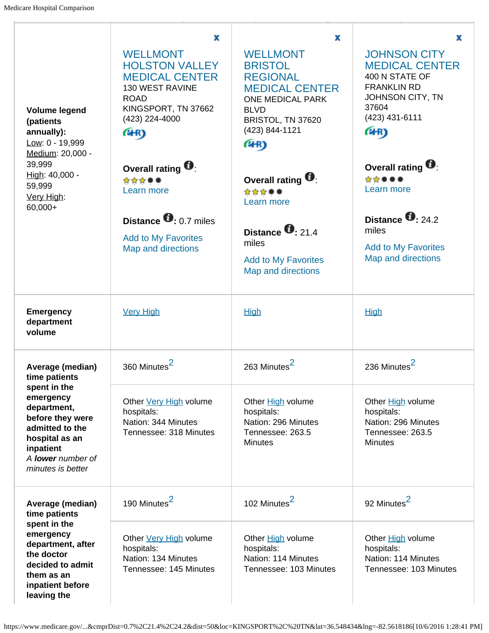| <b>Volume legend</b><br>(patients<br>annually):<br>Low: 0 - 19,999<br>Medium: 20,000 -<br>39,999<br>High: 40,000 -<br>59,999<br>Very High:<br>$60,000+$                | x<br><b>WELLMONT</b><br><b>HOLSTON VALLEY</b><br><b>MEDICAL CENTER</b><br>130 WEST RAVINE<br><b>ROAD</b><br>KINGSPORT, TN 37662<br>(423) 224-4000<br>(4R) | x<br><b>WELLMONT</b><br><b>BRISTOL</b><br><b>REGIONAL</b><br><b>MEDICAL CENTER</b><br><b>ONE MEDICAL PARK</b><br><b>BLVD</b><br>BRISTOL, TN 37620<br>(423) 844-1121<br>(4R) | x<br><b>JOHNSON CITY</b><br><b>MEDICAL CENTER</b><br>400 N STATE OF<br><b>FRANKLIN RD</b><br>JOHNSON CITY, TN<br>37604<br>(423) 431-6111<br>(4R) |
|------------------------------------------------------------------------------------------------------------------------------------------------------------------------|-----------------------------------------------------------------------------------------------------------------------------------------------------------|-----------------------------------------------------------------------------------------------------------------------------------------------------------------------------|--------------------------------------------------------------------------------------------------------------------------------------------------|
|                                                                                                                                                                        | Overall rating $\blacksquare$<br>☆☆☆●●<br>Learn more<br>Distance $\bullet$ 0.7 miles<br><b>Add to My Favorites</b><br>Map and directions                  | Overall rating $\blacksquare$<br>☆☆☆●●<br>Learn more<br>Distance $\bullet$ 21.4<br>miles<br><b>Add to My Favorites</b><br>Map and directions                                | Overall rating $\blacksquare$<br>☆☆●●●<br>Learn more<br>Distance $\bullet$ 24.2<br>miles<br><b>Add to My Favorites</b><br>Map and directions     |
| <b>Emergency</b><br>department<br>volume                                                                                                                               | <b>Very High</b>                                                                                                                                          | <b>High</b>                                                                                                                                                                 | <b>High</b>                                                                                                                                      |
| Average (median)<br>time patients                                                                                                                                      | 360 Minutes <sup>2</sup>                                                                                                                                  | 263 Minutes <sup>2</sup>                                                                                                                                                    | 236 Minutes <sup>2</sup>                                                                                                                         |
| spent in the<br>emergency<br>department,<br>before they were<br>admitted to the<br>hospital as an<br>inpatient<br>A lower number of<br>minutes is better               | Other Very High volume<br>hospitals:<br>Nation: 344 Minutes<br>Tennessee: 318 Minutes                                                                     | Other High volume<br>hospitals:<br>Nation: 296 Minutes<br>Tennessee: 263.5<br><b>Minutes</b>                                                                                | Other High volume<br>hospitals:<br>Nation: 296 Minutes<br>Tennessee: 263.5<br><b>Minutes</b>                                                     |
| Average (median)<br>time patients<br>spent in the<br>emergency<br>department, after<br>the doctor<br>decided to admit<br>them as an<br>inpatient before<br>leaving the | 190 Minutes <sup>2</sup>                                                                                                                                  | 102 Minutes <sup>2</sup>                                                                                                                                                    | 92 Minutes <sup>2</sup>                                                                                                                          |
|                                                                                                                                                                        | Other Very High volume<br>hospitals:<br>Nation: 134 Minutes<br>Tennessee: 145 Minutes                                                                     | Other High volume<br>hospitals:<br>Nation: 114 Minutes<br>Tennessee: 103 Minutes                                                                                            | Other <b>High</b> volume<br>hospitals:<br>Nation: 114 Minutes<br>Tennessee: 103 Minutes                                                          |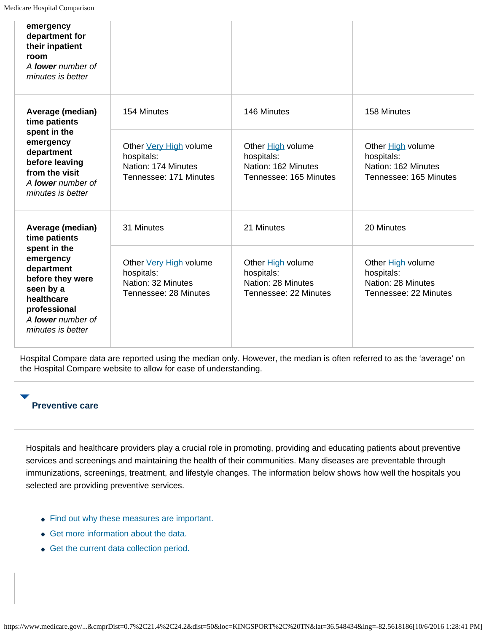| emergency<br>department for<br>their inpatient<br>room<br>A <b>lower</b> number of<br>minutes is better                                          |                                                                                       |                                                                                  |                                                                                         |
|--------------------------------------------------------------------------------------------------------------------------------------------------|---------------------------------------------------------------------------------------|----------------------------------------------------------------------------------|-----------------------------------------------------------------------------------------|
| Average (median)<br>time patients                                                                                                                | 154 Minutes                                                                           | 146 Minutes                                                                      | 158 Minutes                                                                             |
| spent in the<br>emergency<br>department<br>before leaving<br>from the visit<br>A <b>lower</b> number of<br>minutes is better                     | Other Very High volume<br>hospitals:<br>Nation: 174 Minutes<br>Tennessee: 171 Minutes | Other High volume<br>hospitals:<br>Nation: 162 Minutes<br>Tennessee: 165 Minutes | Other <b>High</b> volume<br>hospitals:<br>Nation: 162 Minutes<br>Tennessee: 165 Minutes |
| Average (median)<br>time patients                                                                                                                | 31 Minutes                                                                            | 21 Minutes                                                                       | 20 Minutes                                                                              |
| spent in the<br>emergency<br>department<br>before they were<br>seen by a<br>healthcare<br>professional<br>A lower number of<br>minutes is better | Other Very High volume<br>hospitals:<br>Nation: 32 Minutes<br>Tennessee: 28 Minutes   | Other High volume<br>hospitals:<br>Nation: 28 Minutes<br>Tennessee: 22 Minutes   | Other High volume<br>hospitals:<br>Nation: 28 Minutes<br>Tennessee: 22 Minutes          |

Hospital Compare data are reported using the median only. However, the median is often referred to as the 'average' on the Hospital Compare website to allow for ease of understanding.

### **Preventive care**

Hospitals and healthcare providers play a crucial role in promoting, providing and educating patients about preventive services and screenings and maintaining the health of their communities. Many diseases are preventable through immunizations, screenings, treatment, and lifestyle changes. The information below shows how well the hospitals you selected are providing preventive services.

- Find out why these measures are important.
- Get more information about the data.
- Get the current data collection period.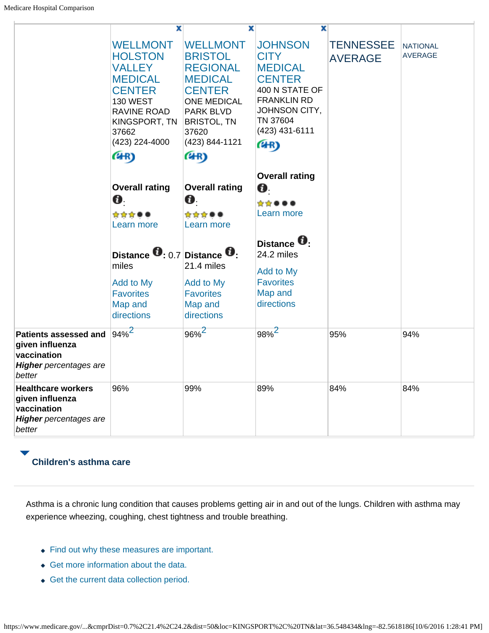|                                                                                                           | X                                                                                                                                                                           | x                                                                                                                                                                                   | $\overline{\mathbf{x}}$                                                                                                                                         |                                    |                            |
|-----------------------------------------------------------------------------------------------------------|-----------------------------------------------------------------------------------------------------------------------------------------------------------------------------|-------------------------------------------------------------------------------------------------------------------------------------------------------------------------------------|-----------------------------------------------------------------------------------------------------------------------------------------------------------------|------------------------------------|----------------------------|
|                                                                                                           | <b>WELLMONT</b><br><b>HOLSTON</b><br><b>VALLEY</b><br><b>MEDICAL</b><br><b>CENTER</b><br><b>130 WEST</b><br>RAVINE ROAD<br>KINGSPORT, TN<br>37662<br>(423) 224-4000<br>(4R) | <b>WELLMONT</b><br><b>BRISTOL</b><br><b>REGIONAL</b><br><b>MEDICAL</b><br><b>CENTER</b><br><b>ONE MEDICAL</b><br>PARK BLVD<br><b>BRISTOL, TN</b><br>37620<br>(423) 844-1121<br>(4R) | <b>JOHNSON</b><br><b>CITY</b><br><b>MEDICAL</b><br><b>CENTER</b><br>400 N STATE OF<br><b>FRANKLIN RD</b><br>JOHNSON CITY,<br>TN 37604<br>(423) 431-6111<br>(4R) | <b>TENNESSEE</b><br><b>AVERAGE</b> | NATIONAL<br><b>AVERAGE</b> |
|                                                                                                           |                                                                                                                                                                             |                                                                                                                                                                                     |                                                                                                                                                                 |                                    |                            |
|                                                                                                           |                                                                                                                                                                             |                                                                                                                                                                                     | <b>Overall rating</b>                                                                                                                                           |                                    |                            |
|                                                                                                           | <b>Overall rating</b>                                                                                                                                                       | <b>Overall rating</b>                                                                                                                                                               | Ø.                                                                                                                                                              |                                    |                            |
|                                                                                                           | Ø.                                                                                                                                                                          | Ø.                                                                                                                                                                                  | *****                                                                                                                                                           |                                    |                            |
|                                                                                                           | ☆☆☆●●<br>Learn more                                                                                                                                                         | ☆☆☆●●<br>Learn more                                                                                                                                                                 | Learn more                                                                                                                                                      |                                    |                            |
|                                                                                                           |                                                                                                                                                                             |                                                                                                                                                                                     |                                                                                                                                                                 |                                    |                            |
|                                                                                                           | Distance $\mathbf{0}$ : 0.7 Distance $\mathbf{0}$ :<br>miles                                                                                                                | 21.4 miles                                                                                                                                                                          | Distance <sup>U</sup> :<br>24.2 miles<br>Add to My                                                                                                              |                                    |                            |
|                                                                                                           | Add to My                                                                                                                                                                   | Add to My                                                                                                                                                                           | <b>Favorites</b>                                                                                                                                                |                                    |                            |
|                                                                                                           | <b>Favorites</b>                                                                                                                                                            | <b>Favorites</b>                                                                                                                                                                    | Map and                                                                                                                                                         |                                    |                            |
|                                                                                                           | Map and<br>directions                                                                                                                                                       | Map and<br>directions                                                                                                                                                               | directions                                                                                                                                                      |                                    |                            |
|                                                                                                           |                                                                                                                                                                             |                                                                                                                                                                                     |                                                                                                                                                                 |                                    |                            |
| <b>Patients assessed and</b><br>given influenza<br>vaccination<br><b>Higher</b> percentages are<br>better | $94\%$ <sup>2</sup>                                                                                                                                                         | $96\%$ <sup>2</sup>                                                                                                                                                                 | $98%^{2}$                                                                                                                                                       | 95%                                | 94%                        |
| <b>Healthcare workers</b><br>given influenza<br>vaccination<br><b>Higher</b> percentages are<br>better    | 96%                                                                                                                                                                         | 99%                                                                                                                                                                                 | 89%                                                                                                                                                             | 84%                                | 84%                        |

# **Children's asthma care**

Asthma is a chronic lung condition that causes problems getting air in and out of the lungs. Children with asthma may experience wheezing, coughing, chest tightness and trouble breathing.

- Find out why these measures are important.
- Get more information about the data.
- Get the current data collection period.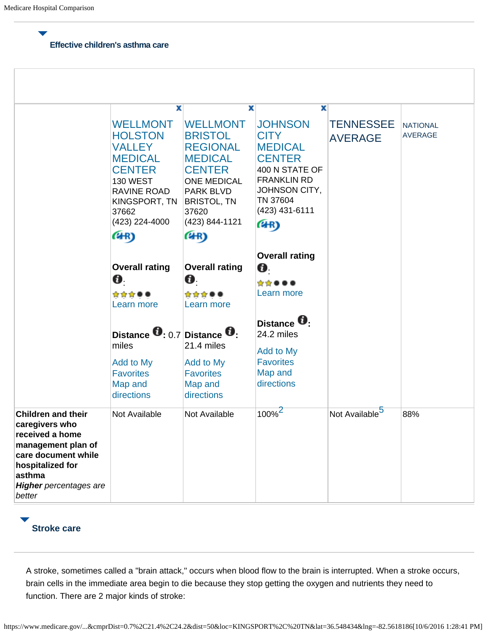#### **Effective children's asthma care**

|                                                                                                                                                                                      | x<br><b>WELLMONT</b><br><b>HOLSTON</b><br>VALLEY<br><b>MEDICAL</b><br><b>CENTER</b><br><b>130 WEST</b><br>RAVINE ROAD<br>KINGSPORT, TN<br>37662<br>(423) 224-4000<br>(4R) | х<br><b>WELLMONT</b><br><b>BRISTOL</b><br><b>REGIONAL</b><br><b>MEDICAL</b><br><b>CENTER</b><br><b>ONE MEDICAL</b><br><b>PARK BLVD</b><br><b>BRISTOL, TN</b><br>37620<br>(423) 844-1121<br>(4R) | x<br><b>JOHNSON</b><br><b>CITY</b><br><b>MEDICAL</b><br><b>CENTER</b><br>400 N STATE OF<br><b>FRANKLIN RD</b><br>JOHNSON CITY,<br>TN 37604<br>(423) 431-6111<br>(4R) | <b>TENNESSEE</b><br><b>AVERAGE</b> | <b>NATIONAL</b><br><b>AVERAGE</b> |
|--------------------------------------------------------------------------------------------------------------------------------------------------------------------------------------|---------------------------------------------------------------------------------------------------------------------------------------------------------------------------|-------------------------------------------------------------------------------------------------------------------------------------------------------------------------------------------------|----------------------------------------------------------------------------------------------------------------------------------------------------------------------|------------------------------------|-----------------------------------|
|                                                                                                                                                                                      | <b>Overall rating</b><br>Ø.<br>☆☆☆●●<br>Learn more<br>Distance $\mathbf{0}$ : 0.7 Distance $\mathbf{0}$ :<br>miles                                                        | <b>Overall rating</b><br>Ø.<br>☆☆☆●●<br>Learn more<br>21.4 miles                                                                                                                                | <b>Overall rating</b><br>0.<br>☆☆●●●<br>Learn more<br>Distance <b>U</b> .<br>24.2 miles                                                                              |                                    |                                   |
|                                                                                                                                                                                      | Add to My<br><b>Favorites</b><br>Map and<br>directions                                                                                                                    | Add to My<br><b>Favorites</b><br>Map and<br>directions                                                                                                                                          | Add to My<br><b>Favorites</b><br>Map and<br>directions                                                                                                               |                                    |                                   |
| <b>Children and their</b><br>caregivers who<br>received a home<br>management plan of<br>care document while<br>hospitalized for<br>asthma<br><b>Higher</b> percentages are<br>better | Not Available                                                                                                                                                             | Not Available                                                                                                                                                                                   | $100\%$                                                                                                                                                              | Not Available <sup>5</sup>         | 88%                               |

# **Stroke care**

A stroke, sometimes called a "brain attack," occurs when blood flow to the brain is interrupted. When a stroke occurs, brain cells in the immediate area begin to die because they stop getting the oxygen and nutrients they need to function. There are 2 major kinds of stroke: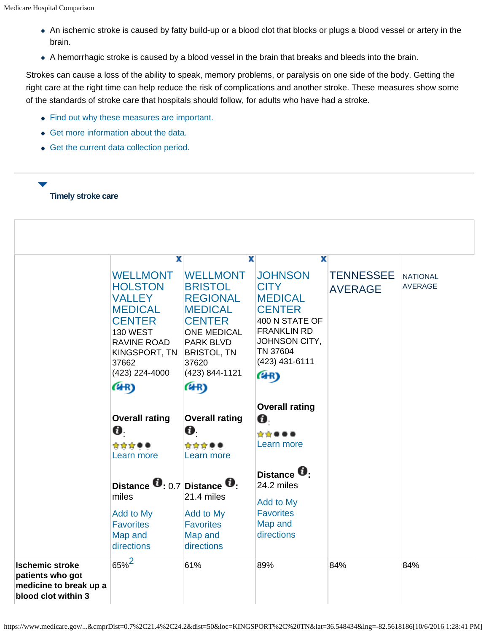- An ischemic stroke is caused by fatty build-up or a blood clot that blocks or plugs a blood vessel or artery in the brain.
- A hemorrhagic stroke is caused by a blood vessel in the brain that breaks and bleeds into the brain.

Strokes can cause a loss of the ability to speak, memory problems, or paralysis on one side of the body. Getting the right care at the right time can help reduce the risk of complications and another stroke. These measures show some of the standards of stroke care that hospitals should follow, for adults who have had a stroke.

- Find out why these measures are important.
- Get more information about the data.
- Get the current data collection period.

### **Timely stroke care**

|                                                                                             | X                                                                                                                                                                   | X                                                                                                                                                                                  | x                                                                                                                                                               |                                    |                                   |
|---------------------------------------------------------------------------------------------|---------------------------------------------------------------------------------------------------------------------------------------------------------------------|------------------------------------------------------------------------------------------------------------------------------------------------------------------------------------|-----------------------------------------------------------------------------------------------------------------------------------------------------------------|------------------------------------|-----------------------------------|
|                                                                                             | <b>WELLMONT</b><br><b>HOLSTON</b><br><b>VALLEY</b><br><b>MEDICAL</b><br><b>CENTER</b><br><b>130 WEST</b><br>RAVINE ROAD<br>KINGSPORT, TN<br>37662<br>(423) 224-4000 | <b>WELLMONT</b><br><b>BRISTOL</b><br><b>REGIONAL</b><br><b>MEDICAL</b><br><b>CENTER</b><br><b>ONE MEDICAL</b><br><b>PARK BLVD</b><br><b>BRISTOL, TN</b><br>37620<br>(423) 844-1121 | <b>JOHNSON</b><br><b>CITY</b><br><b>MEDICAL</b><br><b>CENTER</b><br>400 N STATE OF<br><b>FRANKLIN RD</b><br>JOHNSON CITY,<br>TN 37604<br>(423) 431-6111<br>(4R) | <b>TENNESSEE</b><br><b>AVERAGE</b> | <b>NATIONAL</b><br><b>AVERAGE</b> |
|                                                                                             | (4R)<br><b>Overall rating</b><br>0.<br>☆☆☆●●<br>Learn more                                                                                                          | (4R)<br><b>Overall rating</b><br>0.<br>☆☆☆●●<br>Learn more                                                                                                                         | <b>Overall rating</b><br>O.<br>*****<br>Learn more                                                                                                              |                                    |                                   |
|                                                                                             | Distance $\mathbf{0}$ : 0.7 Distance $\mathbf{0}$ :<br>miles<br>Add to My<br><b>Favorites</b><br>Map and<br>directions                                              | 21.4 miles<br>Add to My<br><b>Favorites</b><br>Map and<br>directions                                                                                                               | Distance <b>U</b> .<br>24.2 miles<br>Add to My<br><b>Favorites</b><br>Map and<br>directions                                                                     |                                    |                                   |
| <b>Ischemic stroke</b><br>patients who got<br>medicine to break up a<br>blood clot within 3 | $65\%$ <sup>2</sup>                                                                                                                                                 | 61%                                                                                                                                                                                | 89%                                                                                                                                                             | 84%                                | 84%                               |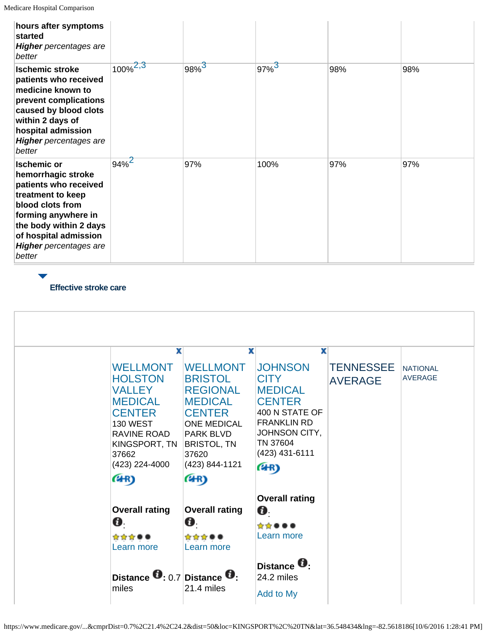| hours after symptoms<br>started<br><b>Higher</b> percentages are<br>better                                                                                                                                                      |               |                     |                     |     |     |
|---------------------------------------------------------------------------------------------------------------------------------------------------------------------------------------------------------------------------------|---------------|---------------------|---------------------|-----|-----|
| <b>Ischemic stroke</b><br>patients who received<br>medicine known to<br>prevent complications<br>caused by blood clots<br>within 2 days of<br>hospital admission<br><b>Higher</b> percentages are<br>better                     | $100\%^{2,3}$ | $98\%$ <sup>3</sup> | $97\%$ <sup>3</sup> | 98% | 98% |
| <b>Ischemic or</b><br>hemorrhagic stroke<br>patients who received<br>treatment to keep<br>blood clots from<br>forming anywhere in<br>the body within 2 days<br>of hospital admission<br><b>Higher</b> percentages are<br>better | $94%^{2}$     | 97%                 | 100%                | 97% | 97% |

**Effective stroke care**

| 37662<br>(4R) | x<br><b>WELLMONT</b><br><b>WELLMONT</b><br><b>HOLSTON</b><br><b>BRISTOL</b><br><b>REGIONAL</b><br><b>VALLEY</b><br><b>MEDICAL</b><br><b>MEDICAL</b><br><b>CENTER</b><br><b>CENTER</b><br><b>ONE MEDICAL</b><br><b>130 WEST</b><br>RAVINE ROAD<br><b>PARK BLVD</b><br><b>BRISTOL, TN</b><br>KINGSPORT, TN<br>37620<br>(423) 224-4000<br>(423) 844-1121<br>(4R) | x<br><b>JOHNSON</b><br><b>CITY</b><br><b>MEDICAL</b><br><b>CENTER</b><br>400 N STATE OF<br><b>FRANKLIN RD</b><br>JOHNSON CITY,<br>TN 37604<br>(423) 431-6111<br>(4R) | x<br><b>TENNESSEE</b><br><b>AVERAGE</b> | <b>NATIONAL</b><br><b>AVERAGE</b> |
|---------------|---------------------------------------------------------------------------------------------------------------------------------------------------------------------------------------------------------------------------------------------------------------------------------------------------------------------------------------------------------------|----------------------------------------------------------------------------------------------------------------------------------------------------------------------|-----------------------------------------|-----------------------------------|
| Ø.<br>☆☆☆●●   | <b>Overall rating</b><br><b>Overall rating</b><br>Ø.<br>☆☆☆●●<br>Learn more<br>Learn more                                                                                                                                                                                                                                                                     | <b>Overall rating</b><br>Ø.<br>*****<br>Learn more                                                                                                                   |                                         |                                   |
| miles         | Distance $\bullet$ : 0.7 Distance $\bullet$ :<br>21.4 miles                                                                                                                                                                                                                                                                                                   | Distance <b>U</b> .<br>24.2 miles<br>Add to My                                                                                                                       |                                         |                                   |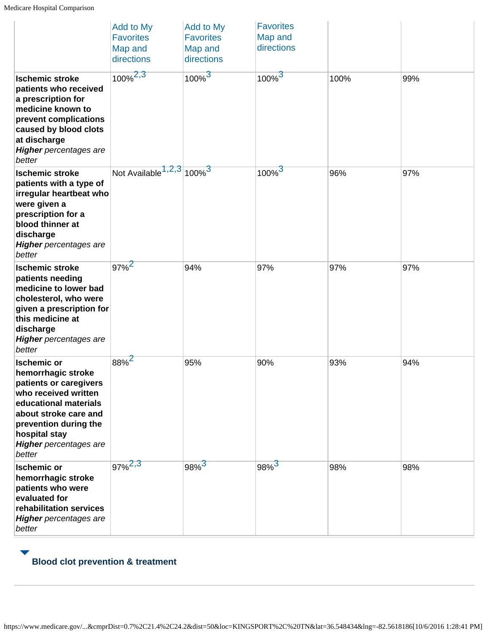|                                                                                                                                                                                                                                   | Add to My<br><b>Favorites</b><br>Map and<br>directions | Add to My<br><b>Favorites</b><br>Map and<br>directions | <b>Favorites</b><br>Map and<br>directions |      |     |
|-----------------------------------------------------------------------------------------------------------------------------------------------------------------------------------------------------------------------------------|--------------------------------------------------------|--------------------------------------------------------|-------------------------------------------|------|-----|
| <b>Ischemic stroke</b><br>patients who received<br>a prescription for<br>medicine known to<br>prevent complications<br>caused by blood clots<br>at discharge<br><b>Higher</b> percentages are<br>better                           | $100\%^{2,3}$                                          | $100\%$ <sup>3</sup>                                   | $100\%$ <sup>3</sup>                      | 100% | 99% |
| <b>Ischemic stroke</b><br>patients with a type of<br>irregular heartbeat who<br>were given a<br>prescription for a<br>blood thinner at<br>discharge<br><b>Higher</b> percentages are<br>better                                    | Not Available $1,2,3$ 100% $3$                         |                                                        | $100\%$ <sup>3</sup>                      | 96%  | 97% |
| <b>Ischemic stroke</b><br>patients needing<br>medicine to lower bad<br>cholesterol, who were<br>given a prescription for<br>this medicine at<br>discharge<br><b>Higher</b> percentages are<br>better                              | $97\%$ <sup>2</sup>                                    | 94%                                                    | 97%                                       | 97%  | 97% |
| <b>Ischemic or</b><br>hemorrhagic stroke<br>patients or caregivers<br>who received written<br>educational materials<br>about stroke care and<br>prevention during the<br>hospital stay<br><b>Higher</b> percentages are<br>better | 88% <sup>2</sup>                                       | 95%                                                    | 90%                                       | 93%  | 94% |
| <b>Ischemic or</b><br>hemorrhagic stroke<br>patients who were<br>evaluated for<br>rehabilitation services<br><b>Higher</b> percentages are<br>better                                                                              | $97\%^{2,3}$                                           | 98% <sup>3</sup>                                       | 98% <sup>3</sup>                          | 98%  | 98% |

# **Blood clot prevention & treatment**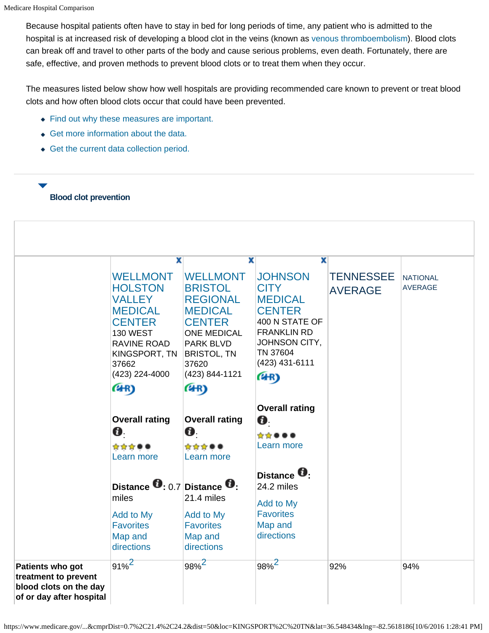Because hospital patients often have to stay in bed for long periods of time, any patient who is admitted to the hospital is at increased risk of developing a blood clot in the veins (known as venous thromboembolism). Blood clots can break off and travel to other parts of the body and cause serious problems, even death. Fortunately, there are safe, effective, and proven methods to prevent blood clots or to treat them when they occur.

The measures listed below show how well hospitals are providing recommended care known to prevent or treat blood clots and how often blood clots occur that could have been prevented.

- Find out why these measures are important.
- Get more information about the data.
- Get the current data collection period.

### **Blood clot prevention**

|                                                                                                | X<br><b>WELLMONT</b><br><b>HOLSTON</b><br><b>VALLEY</b><br><b>MEDICAL</b><br><b>CENTER</b><br><b>130 WEST</b><br>RAVINE ROAD<br>KINGSPORT, TN<br>37662<br>(423) 224-4000<br>(4R) | x<br><b>WELLMONT</b><br><b>BRISTOL</b><br><b>REGIONAL</b><br><b>MEDICAL</b><br><b>CENTER</b><br><b>ONE MEDICAL</b><br><b>PARK BLVD</b><br><b>BRISTOL, TN</b><br>37620<br>(423) 844-1121<br>(4R) | x<br><b>JOHNSON</b><br><b>CITY</b><br><b>MEDICAL</b><br><b>CENTER</b><br>400 N STATE OF<br><b>FRANKLIN RD</b><br>JOHNSON CITY,<br>TN 37604<br>(423) 431-6111<br>(4R) | <b>TENNESSEE</b><br><b>AVERAGE</b> | <b>NATIONAL</b><br><b>AVERAGE</b> |
|------------------------------------------------------------------------------------------------|----------------------------------------------------------------------------------------------------------------------------------------------------------------------------------|-------------------------------------------------------------------------------------------------------------------------------------------------------------------------------------------------|----------------------------------------------------------------------------------------------------------------------------------------------------------------------|------------------------------------|-----------------------------------|
|                                                                                                | <b>Overall rating</b><br>Ø.<br>☆☆☆●●<br>Learn more                                                                                                                               | <b>Overall rating</b><br>Ø.<br>☆☆☆●●<br>Learn more                                                                                                                                              | <b>Overall rating</b><br>0.<br>☆☆●●●<br>Learn more                                                                                                                   |                                    |                                   |
|                                                                                                | Distance $\mathbf{0}$ : 0.7 Distance $\mathbf{0}$ :<br>miles<br>Add to My<br><b>Favorites</b><br>Map and<br>directions                                                           | 21.4 miles<br>Add to My<br><b>Favorites</b><br>Map and<br>directions                                                                                                                            | Distance <sup>U</sup> :<br>24.2 miles<br>Add to My<br><b>Favorites</b><br>Map and<br>directions                                                                      |                                    |                                   |
| Patients who got<br>treatment to prevent<br>blood clots on the day<br>of or day after hospital | $91\%^{2}$                                                                                                                                                                       | $98\%$ <sup>2</sup>                                                                                                                                                                             | $98\%^{2}$                                                                                                                                                           | 92%                                | 94%                               |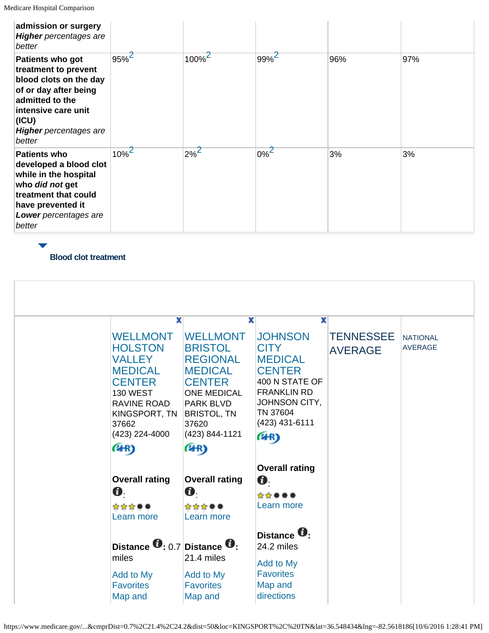| admission or surgery<br><b>Higher</b> percentages are<br>better                                                                                                                           |                     |         |                    |     |     |
|-------------------------------------------------------------------------------------------------------------------------------------------------------------------------------------------|---------------------|---------|--------------------|-----|-----|
| Patients who got<br>treatment to prevent<br>blood clots on the day<br>of or day after being<br>admitted to the<br>intensive care unit<br>(ICU)<br><b>Higher</b> percentages are<br>better | $95\%$ <sup>2</sup> | $100\%$ | $99\%$             | 96% | 97% |
| <b>Patients who</b><br>developed a blood clot<br>while in the hospital<br>who did not get<br>treatment that could<br>have prevented it<br>Lower percentages are<br>better                 | $10\%$ <sup>2</sup> | $2\%$   | $0\%$ <sup>Z</sup> | 3%  | 3%  |

**Blood clot treatment**

| X                                                                                     | x                                                                                       | x                                                                                  |                                    |                                   |
|---------------------------------------------------------------------------------------|-----------------------------------------------------------------------------------------|------------------------------------------------------------------------------------|------------------------------------|-----------------------------------|
| <b>WELLMONT</b><br><b>HOLSTON</b><br><b>VALLEY</b><br><b>MEDICAL</b><br><b>CENTER</b> | <b>WELLMONT</b><br><b>BRISTOL</b><br><b>REGIONAL</b><br><b>MEDICAL</b><br><b>CENTER</b> | <b>JOHNSON</b><br><b>CITY</b><br><b>MEDICAL</b><br><b>CENTER</b><br>400 N STATE OF | <b>TENNESSEE</b><br><b>AVERAGE</b> | <b>NATIONAL</b><br><b>AVERAGE</b> |
| <b>130 WEST</b><br>RAVINE ROAD<br>KINGSPORT, TN<br>37662<br>(423) 224-4000            | <b>ONE MEDICAL</b><br><b>PARK BLVD</b><br><b>BRISTOL, TN</b><br>37620<br>(423) 844-1121 | <b>FRANKLIN RD</b><br>JOHNSON CITY,<br>TN 37604<br>(423) 431-6111<br>(4R)          |                                    |                                   |
| (4R)                                                                                  | (4R)                                                                                    |                                                                                    |                                    |                                   |
| <b>Overall rating</b><br>Ø.<br>☆☆☆●●                                                  | <b>Overall rating</b><br>$\mathbf{a}$<br>☆☆☆●●                                          | <b>Overall rating</b><br>O.<br>*****<br>Learn more                                 |                                    |                                   |
| Learn more<br>Distance $\mathbf{0}$ : 0.7 Distance $\mathbf{0}$ :<br>miles            | Learn more<br>21.4 miles                                                                | Distance <b>U</b> .<br>24.2 miles                                                  |                                    |                                   |
| Add to My<br><b>Favorites</b><br>Map and                                              | Add to My<br><b>Favorites</b><br>Map and                                                | Add to My<br><b>Favorites</b><br>Map and<br>directions                             |                                    |                                   |

https://www.medicare.gov/...&cmprDist=0.7%2C21.4%2C24.2&dist=50&loc=KINGSPORT%2C%20TN&lat=36.548434&lng=-82.5618186[10/6/2016 1:28:41 PM]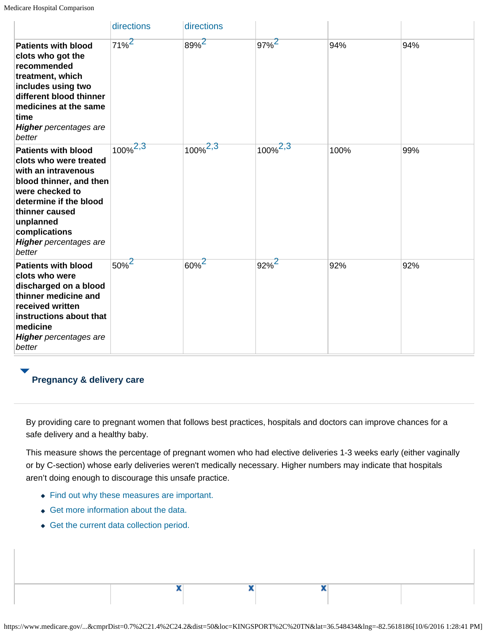|                                                                                                                                                                                                                                                | directions          | directions          |                     |      |     |
|------------------------------------------------------------------------------------------------------------------------------------------------------------------------------------------------------------------------------------------------|---------------------|---------------------|---------------------|------|-----|
| <b>Patients with blood</b><br>clots who got the<br>recommended<br>treatment, which<br>includes using two<br>different blood thinner<br>medicines at the same<br>time<br><b>Higher</b> percentages are<br>better                                | $71\%$ <sup>2</sup> | 89% <sup>2</sup>    | $97\%$ <sup>2</sup> | 94%  | 94% |
| <b>Patients with blood</b><br>clots who were treated<br>with an intravenous<br>blood thinner, and then<br>were checked to<br>determine if the blood<br>thinner caused<br>unplanned<br>complications<br><b>Higher</b> percentages are<br>better | $100\%^{2,3}$       | $100\%^{2,3}$       | $100\%^{2,3}$       | 100% | 99% |
| <b>Patients with blood</b><br>clots who were<br>discharged on a blood<br>thinner medicine and<br>received written<br>instructions about that<br>medicine<br><b>Higher</b> percentages are<br>better                                            | $50\%$ <sup>2</sup> | $60\%$ <sup>2</sup> | $92\%$ <sup>2</sup> | 92%  | 92% |

# **Pregnancy & delivery care**

By providing care to pregnant women that follows best practices, hospitals and doctors can improve chances for a safe delivery and a healthy baby.

This measure shows the percentage of pregnant women who had elective deliveries 1-3 weeks early (either vaginally or by C-section) whose early deliveries weren't medically necessary. Higher numbers may indicate that hospitals aren't doing enough to discourage this unsafe practice.

• Find out why these measures are important.

x

- Get more information about the data.
- Get the current data collection period.

x

x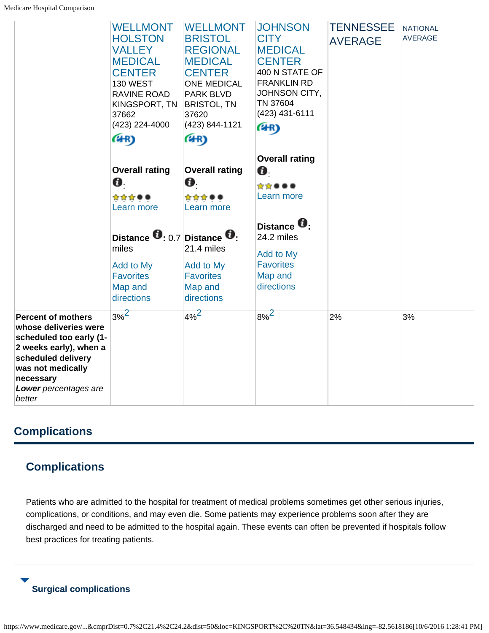|                                                                                                                                                                                                    | <b>WELLMONT</b><br><b>HOLSTON</b><br><b>VALLEY</b><br><b>MEDICAL</b><br><b>CENTER</b><br><b>130 WEST</b><br>RAVINE ROAD<br>KINGSPORT, TN<br>37662<br>(423) 224-4000<br>(4R) | <b>WELLMONT</b><br><b>BRISTOL</b><br><b>REGIONAL</b><br><b>MEDICAL</b><br><b>CENTER</b><br><b>ONE MEDICAL</b><br><b>PARK BLVD</b><br><b>BRISTOL, TN</b><br>37620<br>(423) 844-1121<br>(4R) | <b>JOHNSON</b><br><b>CITY</b><br><b>MEDICAL</b><br><b>CENTER</b><br>400 N STATE OF<br><b>FRANKLIN RD</b><br>JOHNSON CITY,<br>TN 37604<br>(423) 431-6111<br>(4R) | <b>TENNESSEE</b><br><b>AVERAGE</b> | <b>NATIONAL</b><br><b>AVERAGE</b> |
|----------------------------------------------------------------------------------------------------------------------------------------------------------------------------------------------------|-----------------------------------------------------------------------------------------------------------------------------------------------------------------------------|--------------------------------------------------------------------------------------------------------------------------------------------------------------------------------------------|-----------------------------------------------------------------------------------------------------------------------------------------------------------------|------------------------------------|-----------------------------------|
|                                                                                                                                                                                                    | <b>Overall rating</b>                                                                                                                                                       | <b>Overall rating</b>                                                                                                                                                                      | <b>Overall rating</b><br>O.                                                                                                                                     |                                    |                                   |
|                                                                                                                                                                                                    | Ø.                                                                                                                                                                          | Ø.                                                                                                                                                                                         | ☆☆●●●                                                                                                                                                           |                                    |                                   |
|                                                                                                                                                                                                    | ☆☆☆●●                                                                                                                                                                       | ☆☆☆●●                                                                                                                                                                                      | Learn more                                                                                                                                                      |                                    |                                   |
|                                                                                                                                                                                                    | Learn more                                                                                                                                                                  | Learn more                                                                                                                                                                                 |                                                                                                                                                                 |                                    |                                   |
|                                                                                                                                                                                                    | Distance $\mathbf{0}$ : 0.7 Distance $\mathbf{0}$ :<br>miles<br>Add to My                                                                                                   | 21.4 miles<br>Add to My                                                                                                                                                                    | Distance <sup>U</sup> :<br>24.2 miles<br>Add to My<br><b>Favorites</b>                                                                                          |                                    |                                   |
|                                                                                                                                                                                                    | <b>Favorites</b>                                                                                                                                                            | <b>Favorites</b>                                                                                                                                                                           | Map and                                                                                                                                                         |                                    |                                   |
|                                                                                                                                                                                                    | Map and<br>directions                                                                                                                                                       | Map and<br>directions                                                                                                                                                                      | directions                                                                                                                                                      |                                    |                                   |
| <b>Percent of mothers</b><br>whose deliveries were<br>scheduled too early (1-<br>2 weeks early), when a<br>scheduled delivery<br>was not medically<br>necessary<br>Lower percentages are<br>better | $3%^{2}$                                                                                                                                                                    | $4\%^{2}$                                                                                                                                                                                  | $8\%^{2}$                                                                                                                                                       | 2%                                 | 3%                                |

# **Complications**

# **Complications**

Patients who are admitted to the hospital for treatment of medical problems sometimes get other serious injuries, complications, or conditions, and may even die. Some patients may experience problems soon after they are discharged and need to be admitted to the hospital again. These events can often be prevented if hospitals follow best practices for treating patients.

# **Surgical complications**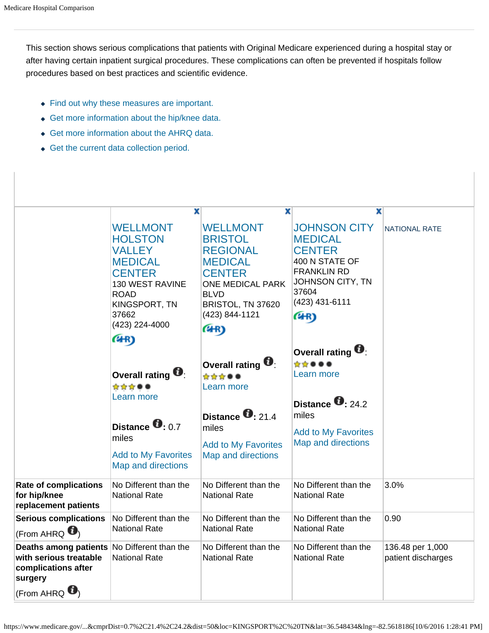This section shows serious complications that patients with Original Medicare experienced during a hospital stay or after having certain inpatient surgical procedures. These complications can often be prevented if hospitals follow procedures based on best practices and scientific evidence.

- Find out why these measures are important.
- Get more information about the hip/knee data.
- Get more information about the AHRQ data.
- Get the current data collection period.

|                                                                                                                                    | x                                                                                                                                                                           | x                                                                                                                                                                                | x                                                                                                                                                     |                                        |
|------------------------------------------------------------------------------------------------------------------------------------|-----------------------------------------------------------------------------------------------------------------------------------------------------------------------------|----------------------------------------------------------------------------------------------------------------------------------------------------------------------------------|-------------------------------------------------------------------------------------------------------------------------------------------------------|----------------------------------------|
|                                                                                                                                    | <b>WELLMONT</b><br><b>HOLSTON</b><br><b>VALLEY</b><br><b>MEDICAL</b><br><b>CENTER</b><br>130 WEST RAVINE<br><b>ROAD</b><br>KINGSPORT, TN<br>37662<br>(423) 224-4000<br>(4R) | <b>WELLMONT</b><br><b>BRISTOL</b><br><b>REGIONAL</b><br><b>MEDICAL</b><br><b>CENTER</b><br><b>ONE MEDICAL PARK</b><br><b>BLVD</b><br>BRISTOL, TN 37620<br>(423) 844-1121<br>(4R) | <b>JOHNSON CITY</b><br><b>MEDICAL</b><br><b>CENTER</b><br>400 N STATE OF<br><b>FRANKLIN RD</b><br>JOHNSON CITY, TN<br>37604<br>(423) 431-6111<br>(4R) | <b>NATIONAL RATE</b>                   |
|                                                                                                                                    | Overall rating $\blacksquare$<br>☆☆☆●●<br>Learn more<br>Distance <b>0</b> 0.7<br>miles<br><b>Add to My Favorites</b><br>Map and directions                                  | Overall rating $\blacksquare$<br>☆☆☆●●<br>Learn more<br>Distance $\bullet$ 21.4<br>miles<br><b>Add to My Favorites</b><br>Map and directions                                     | Overall rating $\blacksquare$<br>*****<br>Learn more<br>Distance $\bullet$ 24.2<br>miles<br><b>Add to My Favorites</b><br><b>Map and directions</b>   |                                        |
| <b>Rate of complications</b><br>for hip/knee<br>replacement patients                                                               | No Different than the<br><b>National Rate</b>                                                                                                                               | No Different than the<br><b>National Rate</b>                                                                                                                                    | No Different than the<br><b>National Rate</b>                                                                                                         | 3.0%                                   |
| <b>Serious complications</b><br>(From AHRQ $\bullet$ )                                                                             | No Different than the<br><b>National Rate</b>                                                                                                                               | No Different than the<br><b>National Rate</b>                                                                                                                                    | No Different than the<br><b>National Rate</b>                                                                                                         | 0.90                                   |
| Deaths among patients No Different than the<br>with serious treatable<br>complications after<br>surgery<br>(From AHRQ $\bigcirc$ ) | <b>National Rate</b>                                                                                                                                                        | No Different than the<br><b>National Rate</b>                                                                                                                                    | No Different than the<br><b>National Rate</b>                                                                                                         | 136.48 per 1,000<br>patient discharges |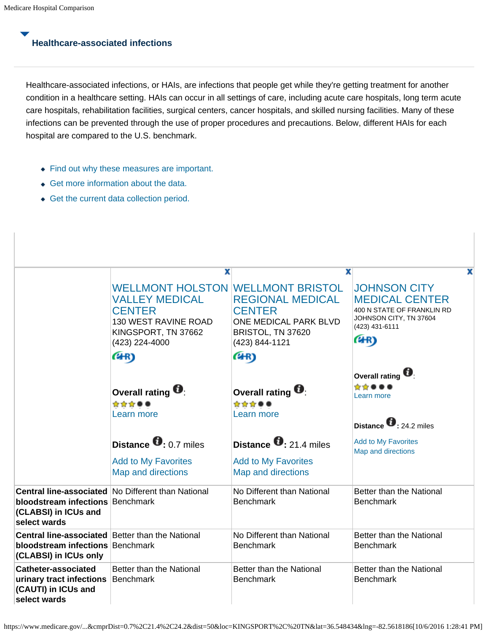# **Healthcare-associated infections**

Healthcare-associated infections, or HAIs, are infections that people get while they're getting treatment for another condition in a healthcare setting. HAIs can occur in all settings of care, including acute care hospitals, long term acute care hospitals, rehabilitation facilities, surgical centers, cancer hospitals, and skilled nursing facilities. Many of these infections can be prevented through the use of proper procedures and precautions. Below, different HAIs for each hospital are compared to the U.S. benchmark.

- Find out why these measures are important.
- Get more information about the data.
- Get the current data collection period.

|                                                                                                                             | x                                                                                                                                                   | x                                                                                                        | x                                                                                                                              |
|-----------------------------------------------------------------------------------------------------------------------------|-----------------------------------------------------------------------------------------------------------------------------------------------------|----------------------------------------------------------------------------------------------------------|--------------------------------------------------------------------------------------------------------------------------------|
|                                                                                                                             | <b>WELLMONT HOLSTON WELLMONT BRISTOL</b><br><b>VALLEY MEDICAL</b><br><b>CENTER</b><br>130 WEST RAVINE ROAD<br>KINGSPORT, TN 37662<br>(423) 224-4000 | <b>REGIONAL MEDICAL</b><br><b>CENTER</b><br>ONE MEDICAL PARK BLVD<br>BRISTOL, TN 37620<br>(423) 844-1121 | <b>JOHNSON CITY</b><br><b>MEDICAL CENTER</b><br>400 N STATE OF FRANKLIN RD<br>JOHNSON CITY, TN 37604<br>(423) 431-6111<br>(HR) |
|                                                                                                                             | (HR)                                                                                                                                                | (4R)                                                                                                     |                                                                                                                                |
|                                                                                                                             | Overall rating $\blacksquare$<br>☆☆☆●●<br>Learn more                                                                                                | Overall rating <sup>1</sup><br>☆☆☆●●<br>Learn more                                                       | Overall rating<br>*****<br>Learn more<br>Distance $\bullet$ : 24.2 miles                                                       |
|                                                                                                                             | Distance $\bullet$ 0.7 miles<br><b>Add to My Favorites</b><br>Map and directions                                                                    | Distance $\bullet$ 21.4 miles<br><b>Add to My Favorites</b><br>Map and directions                        | <b>Add to My Favorites</b><br>Map and directions                                                                               |
| <b>bloodstream infections Benchmark</b><br>(CLABSI) in ICUs and<br>select wards                                             | <b>Central line-associated No Different than National</b>                                                                                           | No Different than National<br><b>Benchmark</b>                                                           | Better than the National<br><b>Benchmark</b>                                                                                   |
| <b>Central line-associated Better than the National</b><br><b>bloodstream infections Benchmark</b><br>(CLABSI) in ICUs only |                                                                                                                                                     | No Different than National<br><b>Benchmark</b>                                                           | Better than the National<br><b>Benchmark</b>                                                                                   |
| <b>Catheter-associated</b><br>urinary tract infections<br>(CAUTI) in ICUs and<br>select wards                               | Better than the National<br>Benchmark                                                                                                               | Better than the National<br><b>Benchmark</b>                                                             | Better than the National<br><b>Benchmark</b>                                                                                   |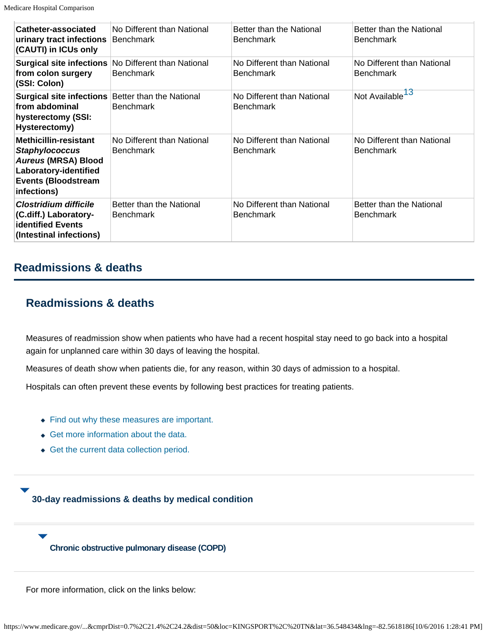| Catheter-associated<br>urinary tract infections Benchmark<br>(CAUTI) in ICUs only                                                                  | No Different than National                                                     | Better than the National<br><b>Benchmark</b>   | Better than the National<br><b>Benchmark</b>   |
|----------------------------------------------------------------------------------------------------------------------------------------------------|--------------------------------------------------------------------------------|------------------------------------------------|------------------------------------------------|
| from colon surgery<br>(SSI: Colon)                                                                                                                 | <b>Surgical site infections No Different than National</b><br><b>Benchmark</b> | No Different than National<br><b>Benchmark</b> | No Different than National<br><b>Benchmark</b> |
| <b>Surgical site infections Better than the National</b><br>from abdominal<br>hysterectomy (SSI:<br>Hysterectomy)                                  | <b>Benchmark</b>                                                               | No Different than National<br><b>Benchmark</b> | Not Available <sup>13</sup>                    |
| <b>Methicillin-resistant</b><br><b>Staphylococcus</b><br>Aureus (MRSA) Blood<br>Laboratory-identified<br><b>Events (Bloodstream</b><br>infections) | No Different than National<br><b>Benchmark</b>                                 | No Different than National<br><b>Benchmark</b> | No Different than National<br><b>Benchmark</b> |
| <b>Clostridium difficile</b><br>(C.diff.) Laboratory-<br><b>identified Events</b><br>(Intestinal infections)                                       | Better than the National<br><b>Benchmark</b>                                   | No Different than National<br><b>Benchmark</b> | Better than the National<br><b>Benchmark</b>   |

### **Readmissions & deaths**

# **Readmissions & deaths**

Measures of readmission show when patients who have had a recent hospital stay need to go back into a hospital again for unplanned care within 30 days of leaving the hospital.

Measures of death show when patients die, for any reason, within 30 days of admission to a hospital.

Hospitals can often prevent these events by following best practices for treating patients.

- Find out why these measures are important.
- Get more information about the data.
- Get the current data collection period.

### **30-day readmissions & deaths by medical condition**

#### **Chronic obstructive pulmonary disease (COPD)**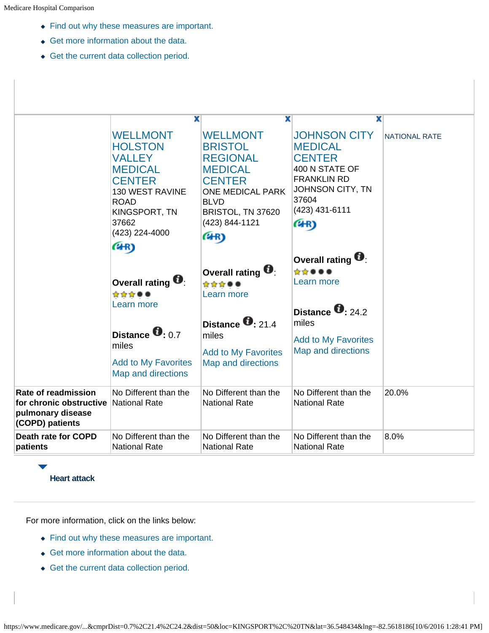- Find out why these measures are important.
- Get more information about the data.
- Get the current data collection period.

|                                                                               | x                                                                                                                                                                           | x                                                                                                                                                                                | x                                                                                                                                                     |               |
|-------------------------------------------------------------------------------|-----------------------------------------------------------------------------------------------------------------------------------------------------------------------------|----------------------------------------------------------------------------------------------------------------------------------------------------------------------------------|-------------------------------------------------------------------------------------------------------------------------------------------------------|---------------|
|                                                                               | <b>WELLMONT</b><br><b>HOLSTON</b><br><b>VALLEY</b><br><b>MEDICAL</b><br><b>CENTER</b><br>130 WEST RAVINE<br><b>ROAD</b><br>KINGSPORT, TN<br>37662<br>(423) 224-4000<br>(4R) | <b>WELLMONT</b><br><b>BRISTOL</b><br><b>REGIONAL</b><br><b>MEDICAL</b><br><b>CENTER</b><br><b>ONE MEDICAL PARK</b><br><b>BLVD</b><br>BRISTOL, TN 37620<br>(423) 844-1121<br>(HR) | <b>JOHNSON CITY</b><br><b>MEDICAL</b><br><b>CENTER</b><br>400 N STATE OF<br><b>FRANKLIN RD</b><br>JOHNSON CITY, TN<br>37604<br>(423) 431-6111<br>(4R) | NATIONAL RATE |
|                                                                               |                                                                                                                                                                             |                                                                                                                                                                                  | Overall rating $\blacksquare$                                                                                                                         |               |
|                                                                               | Overall rating<br>☆☆☆●●                                                                                                                                                     | Overall rating <b>U</b><br>☆☆☆●●<br>Learn more                                                                                                                                   | *****<br>Learn more                                                                                                                                   |               |
|                                                                               | Learn more                                                                                                                                                                  | Distance $\bullet$ 21.4                                                                                                                                                          | Distance $\bullet$ 24.2<br>miles                                                                                                                      |               |
|                                                                               | Distance <b>0</b> 0.7<br>miles<br><b>Add to My Favorites</b><br>Map and directions                                                                                          | miles<br><b>Add to My Favorites</b><br>Map and directions                                                                                                                        | <b>Add to My Favorites</b><br><b>Map and directions</b>                                                                                               |               |
| Rate of readmission                                                           | No Different than the                                                                                                                                                       | No Different than the                                                                                                                                                            | No Different than the                                                                                                                                 | 20.0%         |
| for chronic obstructive National Rate<br>pulmonary disease<br>(COPD) patients |                                                                                                                                                                             | <b>National Rate</b>                                                                                                                                                             | <b>National Rate</b>                                                                                                                                  |               |
| <b>Death rate for COPD</b><br>patients                                        | No Different than the<br><b>National Rate</b>                                                                                                                               | No Different than the<br><b>National Rate</b>                                                                                                                                    | No Different than the<br><b>National Rate</b>                                                                                                         | 8.0%          |

### **Heart attack**

- Find out why these measures are important.
- Get more information about the data.
- Get the current data collection period.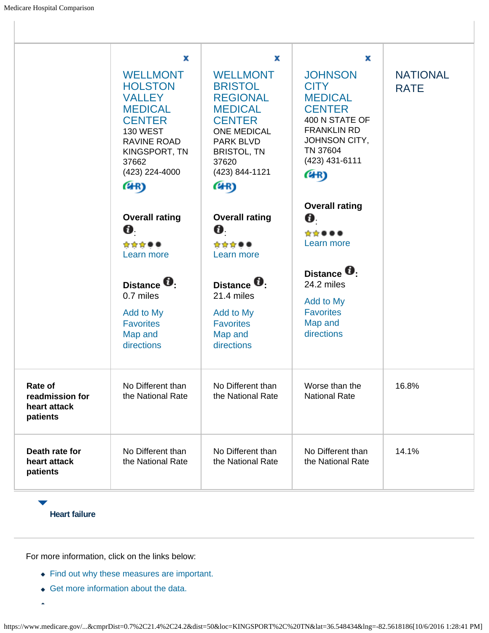|                                                        | x                                                                                                                                                                           | х                                                                                                                                                                                   | x                                                                                                                                                               |                                |
|--------------------------------------------------------|-----------------------------------------------------------------------------------------------------------------------------------------------------------------------------|-------------------------------------------------------------------------------------------------------------------------------------------------------------------------------------|-----------------------------------------------------------------------------------------------------------------------------------------------------------------|--------------------------------|
|                                                        | <b>WELLMONT</b><br><b>HOLSTON</b><br><b>VALLEY</b><br><b>MEDICAL</b><br><b>CENTER</b><br><b>130 WEST</b><br>RAVINE ROAD<br>KINGSPORT, TN<br>37662<br>(423) 224-4000<br>(4R) | <b>WELLMONT</b><br><b>BRISTOL</b><br><b>REGIONAL</b><br><b>MEDICAL</b><br><b>CENTER</b><br><b>ONE MEDICAL</b><br>PARK BLVD<br><b>BRISTOL, TN</b><br>37620<br>(423) 844-1121<br>(4R) | <b>JOHNSON</b><br><b>CITY</b><br><b>MEDICAL</b><br><b>CENTER</b><br>400 N STATE OF<br><b>FRANKLIN RD</b><br>JOHNSON CITY,<br>TN 37604<br>(423) 431-6111<br>(4R) | <b>NATIONAL</b><br><b>RATE</b> |
|                                                        | <b>Overall rating</b>                                                                                                                                                       | <b>Overall rating</b>                                                                                                                                                               | <b>Overall rating</b><br>O.                                                                                                                                     |                                |
|                                                        | O.                                                                                                                                                                          | 0.                                                                                                                                                                                  | ☆☆●●●                                                                                                                                                           |                                |
|                                                        | ☆☆☆●●<br>Learn more                                                                                                                                                         | ☆☆☆●●<br>Learn more                                                                                                                                                                 | Learn more                                                                                                                                                      |                                |
|                                                        | Distance <sup>U</sup> :<br>0.7 miles                                                                                                                                        | Distance <b>U</b> :<br>21.4 miles                                                                                                                                                   | Distance <b>U</b> :<br>24.2 miles                                                                                                                               |                                |
|                                                        | Add to My<br><b>Favorites</b>                                                                                                                                               | Add to My<br><b>Favorites</b>                                                                                                                                                       | Add to My<br><b>Favorites</b><br>Map and                                                                                                                        |                                |
|                                                        | Map and<br>directions                                                                                                                                                       | Map and<br>directions                                                                                                                                                               | directions                                                                                                                                                      |                                |
| Rate of<br>readmission for<br>heart attack<br>patients | No Different than<br>the National Rate                                                                                                                                      | No Different than<br>the National Rate                                                                                                                                              | Worse than the<br><b>National Rate</b>                                                                                                                          | 16.8%                          |
| Death rate for<br>heart attack<br>patients             | No Different than<br>the National Rate                                                                                                                                      | No Different than<br>the National Rate                                                                                                                                              | No Different than<br>the National Rate                                                                                                                          | 14.1%                          |

**Heart failure**

- Find out why these measures are important.
- Get more information about the data.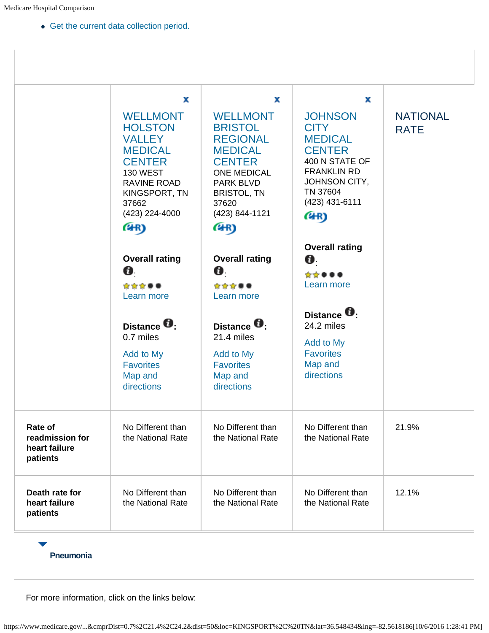Get the current data collection period.

|                                                         | х                                                                                                                                                                           | x                                                                                                                                                                                   | х                                                                                                                                                               |                                |
|---------------------------------------------------------|-----------------------------------------------------------------------------------------------------------------------------------------------------------------------------|-------------------------------------------------------------------------------------------------------------------------------------------------------------------------------------|-----------------------------------------------------------------------------------------------------------------------------------------------------------------|--------------------------------|
|                                                         | <b>WELLMONT</b><br><b>HOLSTON</b><br><b>VALLEY</b><br><b>MEDICAL</b><br><b>CENTER</b><br><b>130 WEST</b><br>RAVINE ROAD<br>KINGSPORT, TN<br>37662<br>(423) 224-4000<br>(4R) | <b>WELLMONT</b><br><b>BRISTOL</b><br><b>REGIONAL</b><br><b>MEDICAL</b><br><b>CENTER</b><br><b>ONE MEDICAL</b><br>PARK BLVD<br><b>BRISTOL, TN</b><br>37620<br>(423) 844-1121<br>(4R) | <b>JOHNSON</b><br><b>CITY</b><br><b>MEDICAL</b><br><b>CENTER</b><br>400 N STATE OF<br><b>FRANKLIN RD</b><br>JOHNSON CITY,<br>TN 37604<br>(423) 431-6111<br>(4R) | <b>NATIONAL</b><br><b>RATE</b> |
|                                                         | <b>Overall rating</b><br>O.                                                                                                                                                 | <b>Overall rating</b><br>O.<br>☆☆☆●●                                                                                                                                                | <b>Overall rating</b><br>O.<br>☆☆●●●<br>Learn more                                                                                                              |                                |
|                                                         | ☆☆☆●●<br>Learn more<br>Distance <sup>1</sup>                                                                                                                                | Learn more<br>Distance <b>U</b> :                                                                                                                                                   | Distance <b>U</b> .<br>24.2 miles                                                                                                                               |                                |
|                                                         | 0.7 miles<br>Add to My<br><b>Favorites</b><br>Map and<br>directions                                                                                                         | 21.4 miles<br>Add to My<br><b>Favorites</b><br>Map and<br>directions                                                                                                                | Add to My<br><b>Favorites</b><br>Map and<br>directions                                                                                                          |                                |
| Rate of<br>readmission for<br>heart failure<br>patients | No Different than<br>the National Rate                                                                                                                                      | No Different than<br>the National Rate                                                                                                                                              | No Different than<br>the National Rate                                                                                                                          | 21.9%                          |
| Death rate for<br>heart failure<br>patients             | No Different than<br>the National Rate                                                                                                                                      | No Different than<br>the National Rate                                                                                                                                              | No Different than<br>the National Rate                                                                                                                          | 12.1%                          |

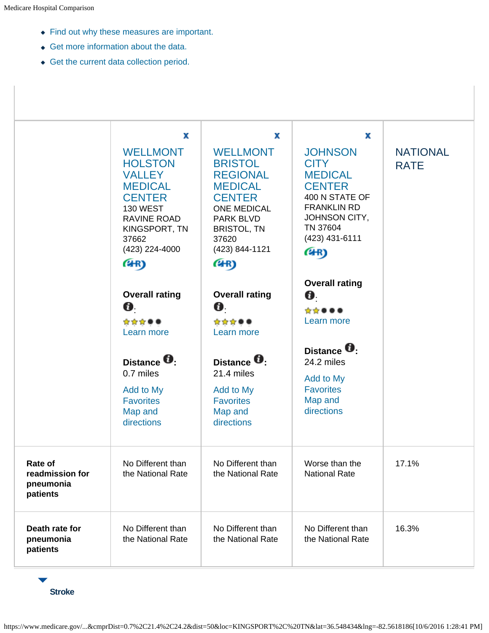- Find out why these measures are important.
- Get more information about the data.
- Get the current data collection period.



**Stroke**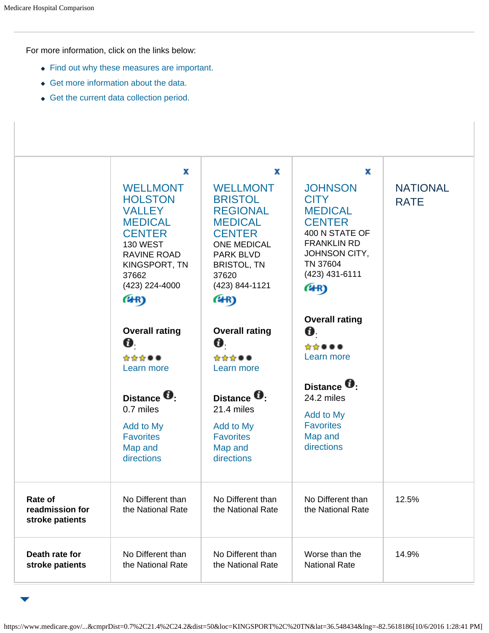For more information, click on the links below:

- Find out why these measures are important.
- Get more information about the data.
- Get the current data collection period.

|                                               | x<br><b>WELLMONT</b><br><b>HOLSTON</b><br><b>VALLEY</b><br><b>MEDICAL</b><br><b>CENTER</b><br><b>130 WEST</b><br><b>RAVINE ROAD</b><br>KINGSPORT, TN<br>37662<br>(423) 224-4000<br>(4R) | x<br><b>WELLMONT</b><br><b>BRISTOL</b><br><b>REGIONAL</b><br><b>MEDICAL</b><br><b>CENTER</b><br><b>ONE MEDICAL</b><br><b>PARK BLVD</b><br><b>BRISTOL, TN</b><br>37620<br>(423) 844-1121<br>(4R) | x<br><b>JOHNSON</b><br><b>CITY</b><br><b>MEDICAL</b><br><b>CENTER</b><br>400 N STATE OF<br><b>FRANKLIN RD</b><br>JOHNSON CITY,<br>TN 37604<br>$(423)$ 431-6111<br>(4R) | <b>NATIONAL</b><br><b>RATE</b> |
|-----------------------------------------------|-----------------------------------------------------------------------------------------------------------------------------------------------------------------------------------------|-------------------------------------------------------------------------------------------------------------------------------------------------------------------------------------------------|------------------------------------------------------------------------------------------------------------------------------------------------------------------------|--------------------------------|
|                                               | <b>Overall rating</b><br>0.<br>☆☆☆●●<br>Learn more<br>Distance <sup>0</sup>                                                                                                             | <b>Overall rating</b><br>0.<br>☆☆☆●●<br>Learn more<br>Distance <b>U</b> .                                                                                                                       | <b>Overall rating</b><br>Ø.<br>☆☆●●●<br>Learn more<br>Distance <b>D</b> .<br>24.2 miles                                                                                |                                |
|                                               | 0.7 miles<br>Add to My<br><b>Favorites</b><br>Map and<br>directions                                                                                                                     | 21.4 miles<br>Add to My<br><b>Favorites</b><br>Map and<br>directions                                                                                                                            | Add to My<br><b>Favorites</b><br>Map and<br>directions                                                                                                                 |                                |
| Rate of<br>readmission for<br>stroke patients | No Different than<br>the National Rate                                                                                                                                                  | No Different than<br>the National Rate                                                                                                                                                          | No Different than<br>the National Rate                                                                                                                                 | 12.5%                          |
| Death rate for<br>stroke patients             | No Different than<br>the National Rate                                                                                                                                                  | No Different than<br>the National Rate                                                                                                                                                          | Worse than the<br><b>National Rate</b>                                                                                                                                 | 14.9%                          |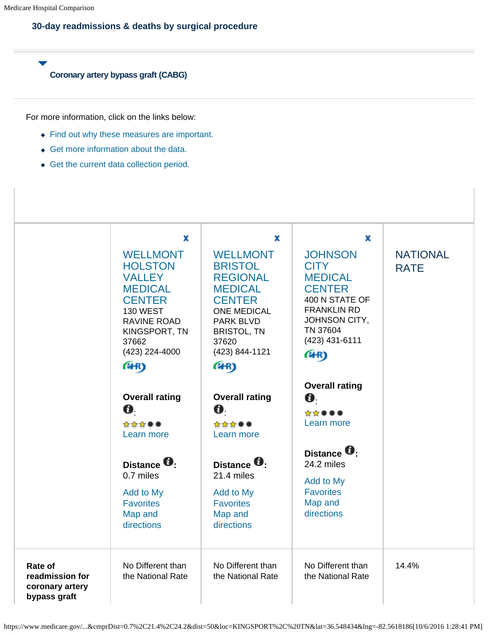### **30-day readmissions & deaths by surgical procedure**

**Coronary artery bypass graft (CABG)**

- Find out why these measures are important.
- Get more information about the data.
- Get the current data collection period.

|                                                               | x                                                                                                                                                                                  | x                                                                                                                                                                                          | x                                                                                                                                                               |                                |
|---------------------------------------------------------------|------------------------------------------------------------------------------------------------------------------------------------------------------------------------------------|--------------------------------------------------------------------------------------------------------------------------------------------------------------------------------------------|-----------------------------------------------------------------------------------------------------------------------------------------------------------------|--------------------------------|
|                                                               | <b>WELLMONT</b><br><b>HOLSTON</b><br><b>VALLEY</b><br><b>MEDICAL</b><br><b>CENTER</b><br><b>130 WEST</b><br><b>RAVINE ROAD</b><br>KINGSPORT, TN<br>37662<br>(423) 224-4000<br>(4R) | <b>WELLMONT</b><br><b>BRISTOL</b><br><b>REGIONAL</b><br><b>MEDICAL</b><br><b>CENTER</b><br><b>ONE MEDICAL</b><br><b>PARK BLVD</b><br><b>BRISTOL, TN</b><br>37620<br>(423) 844-1121<br>(4R) | <b>JOHNSON</b><br><b>CITY</b><br><b>MEDICAL</b><br><b>CENTER</b><br>400 N STATE OF<br><b>FRANKLIN RD</b><br>JOHNSON CITY,<br>TN 37604<br>(423) 431-6111<br>(4R) | <b>NATIONAL</b><br><b>RATE</b> |
|                                                               | <b>Overall rating</b><br>O.                                                                                                                                                        | <b>Overall rating</b><br>O.                                                                                                                                                                | <b>Overall rating</b><br>0.<br>*****                                                                                                                            |                                |
|                                                               | ☆☆☆●●<br>Learn more                                                                                                                                                                | ☆☆☆●●<br>Learn more                                                                                                                                                                        | Learn more                                                                                                                                                      |                                |
|                                                               | Distance <sup>t</sup><br>0.7 miles                                                                                                                                                 | Distance <sup>U</sup><br>21.4 miles                                                                                                                                                        | Distance <b>U</b> .<br>24.2 miles<br>Add to My                                                                                                                  |                                |
|                                                               | Add to My<br><b>Favorites</b><br>Map and<br>directions                                                                                                                             | Add to My<br><b>Favorites</b><br>Map and<br>directions                                                                                                                                     | <b>Favorites</b><br>Map and<br>directions                                                                                                                       |                                |
| Rate of<br>readmission for<br>coronary artery<br>bypass graft | No Different than<br>the National Rate                                                                                                                                             | No Different than<br>the National Rate                                                                                                                                                     | No Different than<br>the National Rate                                                                                                                          | 14.4%                          |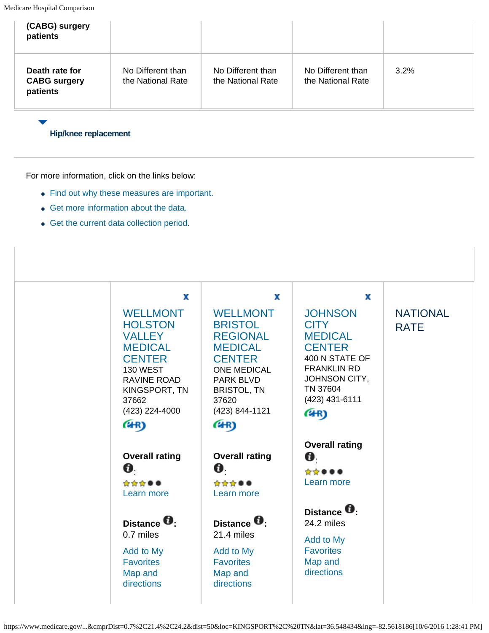| (CABG) surgery<br>patients                        |                                        |                                        |                                        |         |
|---------------------------------------------------|----------------------------------------|----------------------------------------|----------------------------------------|---------|
| Death rate for<br><b>CABG surgery</b><br>patients | No Different than<br>the National Rate | No Different than<br>the National Rate | No Different than<br>the National Rate | $3.2\%$ |

#### **Hip/knee replacement**

- Find out why these measures are important.
- Get more information about the data.
- Get the current data collection period.

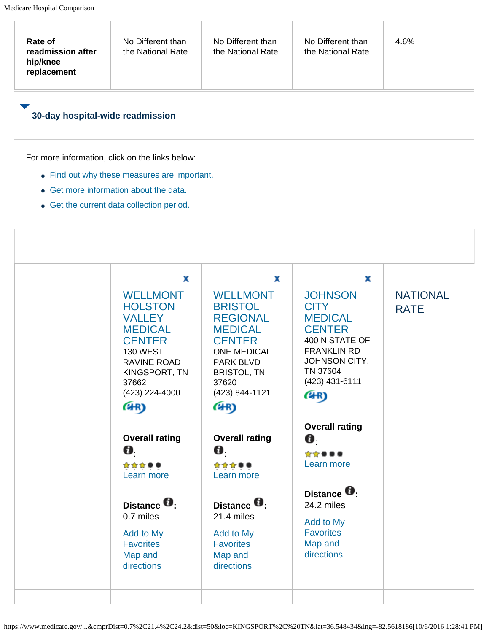| replacement                      |                                                 |                                     |                                      |                 |
|----------------------------------|-------------------------------------------------|-------------------------------------|--------------------------------------|-----------------|
| 30-day hospital-wide readmission |                                                 |                                     |                                      |                 |
|                                  | For more information, click on the links below: |                                     |                                      |                 |
|                                  | • Find out why these measures are important.    |                                     |                                      |                 |
|                                  | • Get more information about the data.          |                                     |                                      |                 |
|                                  | • Get the current data collection period.       |                                     |                                      |                 |
|                                  |                                                 |                                     |                                      |                 |
|                                  |                                                 |                                     |                                      |                 |
|                                  |                                                 |                                     |                                      |                 |
|                                  |                                                 |                                     |                                      |                 |
|                                  | x                                               | x                                   | x                                    |                 |
|                                  | <b>WELLMONT</b>                                 | <b>WELLMONT</b>                     | <b>JOHNSON</b>                       | <b>NATIONAL</b> |
|                                  | <b>HOLSTON</b>                                  | <b>BRISTOL</b>                      | <b>CITY</b>                          | <b>RATE</b>     |
|                                  | <b>VALLEY</b>                                   | <b>REGIONAL</b>                     | <b>MEDICAL</b>                       |                 |
|                                  | <b>MEDICAL</b>                                  | <b>MEDICAL</b>                      | <b>CENTER</b>                        |                 |
|                                  | <b>CENTER</b><br>130 WEST                       | <b>CENTER</b><br><b>ONE MEDICAL</b> | 400 N STATE OF<br><b>FRANKLIN RD</b> |                 |
|                                  | <b>RAVINE ROAD</b>                              | PARK BLVD                           | JOHNSON CITY,                        |                 |
|                                  | KINGSPORT, TN                                   | <b>BRISTOL, TN</b>                  | TN 37604                             |                 |
|                                  | 37662                                           | 37620                               | $(423)$ 431-6111                     |                 |
|                                  | (423) 224-4000                                  | (423) 844-1121                      | (4R)                                 |                 |
|                                  | (4R)                                            | (4R)                                |                                      |                 |
|                                  |                                                 |                                     | <b>Overall rating</b>                |                 |
|                                  | <b>Overall rating</b>                           | <b>Overall rating</b>               | Ø.                                   |                 |
|                                  | Ø.                                              | 0.                                  | ☆☆●●●                                |                 |
|                                  | ☆☆☆●●                                           | ☆☆☆●●                               | Learn more                           |                 |
|                                  | Learn more                                      | Learn more                          |                                      |                 |
|                                  |                                                 |                                     | Distance <b>U</b> .                  |                 |
|                                  | Distance <b>O</b> :                             | Distance <b>O</b> :                 | 24.2 miles                           |                 |
|                                  | 0.7 miles                                       | 21.4 miles                          |                                      |                 |
|                                  |                                                 |                                     | Add to My                            |                 |
|                                  | Add to My                                       | Add to My                           | <b>Favorites</b>                     |                 |
|                                  | <b>Favorites</b>                                | <b>Favorites</b>                    | Map and                              |                 |
|                                  | Map and                                         | Map and                             | directions                           |                 |
|                                  | directions                                      | directions                          |                                      |                 |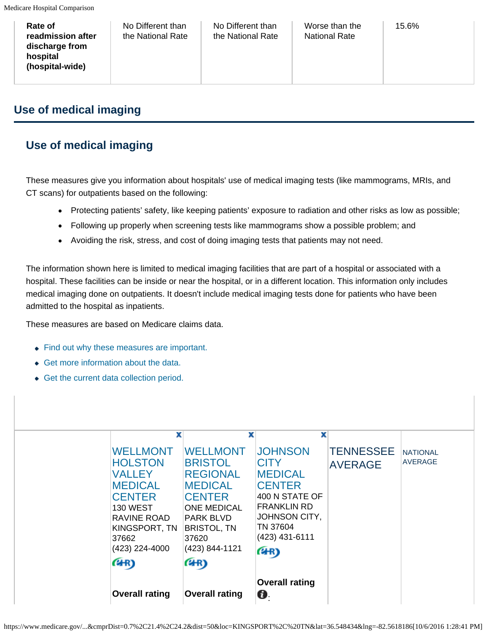| Rate of<br>readmission after<br>discharge from<br>hospital<br>(hospital-wide) | No Different than<br>the National Rate | No Different than<br>the National Rate | Worse than the<br><b>National Rate</b> | 15.6% |  |
|-------------------------------------------------------------------------------|----------------------------------------|----------------------------------------|----------------------------------------|-------|--|
|-------------------------------------------------------------------------------|----------------------------------------|----------------------------------------|----------------------------------------|-------|--|

# **Use of medical imaging**

# **Use of medical imaging**

These measures give you information about hospitals' use of medical imaging tests (like mammograms, MRIs, and CT scans) for outpatients based on the following:

- Protecting patients' safety, like keeping patients' exposure to radiation and other risks as low as possible;
- Following up properly when screening tests like mammograms show a possible problem; and
- Avoiding the risk, stress, and cost of doing imaging tests that patients may not need.

The information shown here is limited to medical imaging facilities that are part of a hospital or associated with a hospital. These facilities can be inside or near the hospital, or in a different location. This information only includes medical imaging done on outpatients. It doesn't include medical imaging tests done for patients who have been admitted to the hospital as inpatients.

These measures are based on Medicare claims data.

- Find out why these measures are important.
- Get more information about the data.
- Get the current data collection period.

|                                                                                                                                                                                  | <b>Overall rating</b>                                                                                                                                                                           | <b>Overall rating</b><br>0.                                                                                                                                                   |                                    |                                   |
|----------------------------------------------------------------------------------------------------------------------------------------------------------------------------------|-------------------------------------------------------------------------------------------------------------------------------------------------------------------------------------------------|-------------------------------------------------------------------------------------------------------------------------------------------------------------------------------|------------------------------------|-----------------------------------|
| x<br><b>WELLMONT</b><br><b>HOLSTON</b><br><b>VALLEY</b><br><b>MEDICAL</b><br><b>CENTER</b><br><b>130 WEST</b><br>RAVINE ROAD<br>KINGSPORT, TN<br>37662<br>(423) 224-4000<br>(4R) | x<br><b>WELLMONT</b><br><b>BRISTOL</b><br><b>REGIONAL</b><br><b>MEDICAL</b><br><b>CENTER</b><br><b>ONE MEDICAL</b><br><b>PARK BLVD</b><br><b>BRISTOL, TN</b><br>37620<br>(423) 844-1121<br>(4R) | x<br><b>JOHNSON</b><br><b>CITY</b><br><b>MEDICAL</b><br><b>CENTER</b><br>400 N STATE OF<br><b>FRANKLIN RD</b><br><b>JOHNSON CITY,</b><br>TN 37604<br>$(423)$ 431-6111<br>(4R) | <b>TENNESSEE</b><br><b>AVERAGE</b> | <b>NATIONAL</b><br><b>AVERAGE</b> |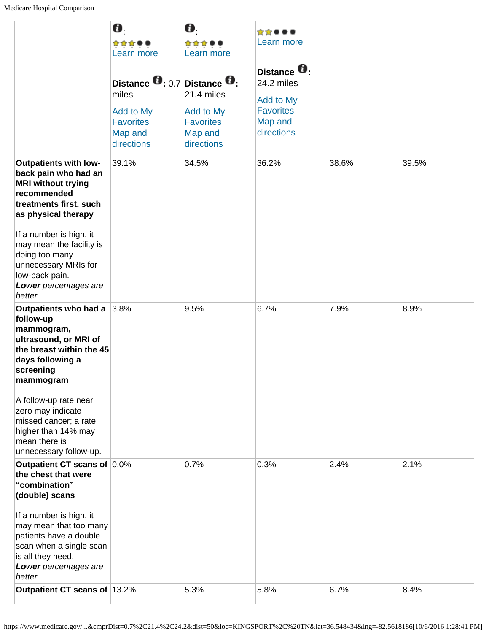|                                                                                                                                                                | 0.<br>☆☆☆●●<br>Learn more<br>Distance $\mathbf{0}$ : 0.7 Distance $\mathbf{0}$ : | 0.<br>☆☆☆●●<br>Learn more                                                   | *****<br>Learn more<br>Distance <sup>U</sup> :<br>24.2 miles |       |       |
|----------------------------------------------------------------------------------------------------------------------------------------------------------------|----------------------------------------------------------------------------------|-----------------------------------------------------------------------------|--------------------------------------------------------------|-------|-------|
|                                                                                                                                                                | miles<br>Add to My<br><b>Favorites</b><br>Map and<br>directions                  | 21.4 miles<br><b>Add to My</b><br><b>Favorites</b><br>Map and<br>directions | Add to My<br><b>Favorites</b><br>Map and<br>directions       |       |       |
| <b>Outpatients with low-</b><br>back pain who had an<br><b>MRI without trying</b><br>recommended<br>treatments first, such<br>as physical therapy              | 39.1%                                                                            | 34.5%                                                                       | 36.2%                                                        | 38.6% | 39.5% |
| If a number is high, it<br>may mean the facility is<br>doing too many<br>unnecessary MRIs for<br>low-back pain.<br>Lower percentages are<br>better             |                                                                                  |                                                                             |                                                              |       |       |
| Outpatients who had a 3.8%<br>follow-up<br>mammogram,<br>ultrasound, or MRI of<br>the breast within the 45<br>days following a<br>screening<br>mammogram       |                                                                                  | 9.5%                                                                        | 6.7%                                                         | 7.9%  | 8.9%  |
| A follow-up rate near<br>zero may indicate<br>missed cancer; a rate<br>higher than 14% may<br>mean there is<br>unnecessary follow-up.                          |                                                                                  |                                                                             |                                                              |       |       |
| Outpatient CT scans of 0.0%<br>the chest that were<br>"combination"<br>(double) scans                                                                          |                                                                                  | 0.7%                                                                        | 0.3%                                                         | 2.4%  | 2.1%  |
| If a number is high, it<br>may mean that too many<br>patients have a double<br>scan when a single scan<br>is all they need.<br>Lower percentages are<br>better |                                                                                  |                                                                             |                                                              |       |       |
| Outpatient CT scans of 13.2%                                                                                                                                   |                                                                                  | 5.3%                                                                        | 5.8%                                                         | 6.7%  | 8.4%  |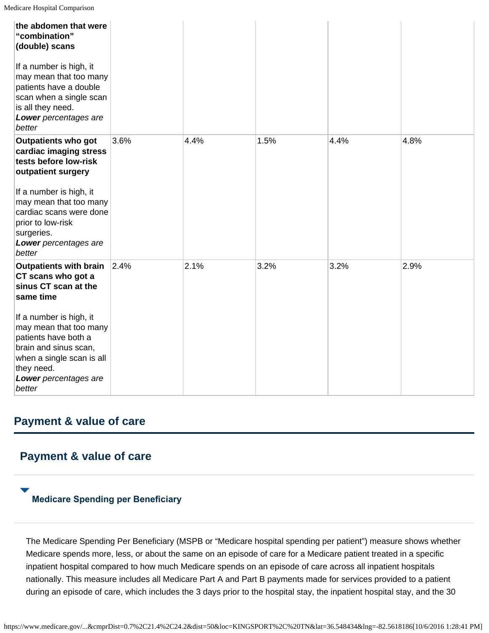| the abdomen that were<br>"combination"<br>(double) scans                                                                                                                         |      |      |      |      |      |
|----------------------------------------------------------------------------------------------------------------------------------------------------------------------------------|------|------|------|------|------|
| If a number is high, it<br>may mean that too many<br>patients have a double<br>scan when a single scan<br>is all they need.<br>Lower percentages are<br>better                   |      |      |      |      |      |
| <b>Outpatients who got</b><br>cardiac imaging stress<br>tests before low-risk<br>outpatient surgery                                                                              | 3.6% | 4.4% | 1.5% | 4.4% | 4.8% |
| If a number is high, it<br>may mean that too many<br>cardiac scans were done<br>prior to low-risk<br>surgeries.<br>Lower percentages are<br>better                               |      |      |      |      |      |
| <b>Outpatients with brain</b><br>CT scans who got a<br>sinus CT scan at the<br>same time                                                                                         | 2.4% | 2.1% | 3.2% | 3.2% | 2.9% |
| If a number is high, it<br>may mean that too many<br>patients have both a<br>brain and sinus scan,<br>when a single scan is all<br>they need.<br>Lower percentages are<br>better |      |      |      |      |      |

# **Payment & value of care**

# **Payment & value of care**

### **Medicare Spending per Beneficiary**

The Medicare Spending Per Beneficiary (MSPB or "Medicare hospital spending per patient") measure shows whether Medicare spends more, less, or about the same on an episode of care for a Medicare patient treated in a specific inpatient hospital compared to how much Medicare spends on an episode of care across all inpatient hospitals nationally. This measure includes all Medicare Part A and Part B payments made for services provided to a patient during an episode of care, which includes the 3 days prior to the hospital stay, the inpatient hospital stay, and the 30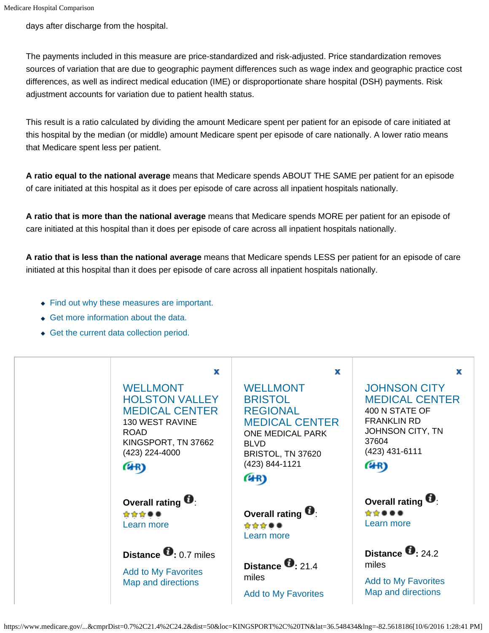days after discharge from the hospital.

The payments included in this measure are price-standardized and risk-adjusted. Price standardization removes sources of variation that are due to geographic payment differences such as wage index and geographic practice cost differences, as well as indirect medical education (IME) or disproportionate share hospital (DSH) payments. Risk adjustment accounts for variation due to patient health status.

This result is a ratio calculated by dividing the amount Medicare spent per patient for an episode of care initiated at this hospital by the median (or middle) amount Medicare spent per episode of care nationally. A lower ratio means that Medicare spent less per patient.

**A ratio equal to the national average** means that Medicare spends ABOUT THE SAME per patient for an episode of care initiated at this hospital as it does per episode of care across all inpatient hospitals nationally.

**A ratio that is more than the national average** means that Medicare spends MORE per patient for an episode of care initiated at this hospital than it does per episode of care across all inpatient hospitals nationally.

**A ratio that is less than the national average** means that Medicare spends LESS per patient for an episode of care initiated at this hospital than it does per episode of care across all inpatient hospitals nationally.

- Find out why these measures are important.
- ◆ Get more information about the data.
- Get the current data collection period.

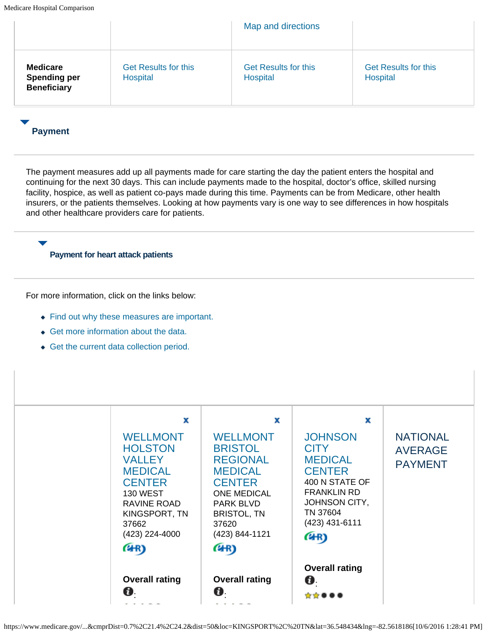|                                                              |                                         | Map and directions                      |                                         |
|--------------------------------------------------------------|-----------------------------------------|-----------------------------------------|-----------------------------------------|
| <b>Medicare</b><br><b>Spending per</b><br><b>Beneficiary</b> | <b>Get Results for this</b><br>Hospital | <b>Get Results for this</b><br>Hospital | <b>Get Results for this</b><br>Hospital |

### **Payment**

The payment measures add up all payments made for care starting the day the patient enters the hospital and continuing for the next 30 days. This can include payments made to the hospital, doctor's office, skilled nursing facility, hospice, as well as patient co-pays made during this time. Payments can be from Medicare, other health insurers, or the patients themselves. Looking at how payments vary is one way to see differences in how hospitals and other healthcare providers care for patients.

#### **Payment for heart attack patients**

- Find out why these measures are important.
- Get more information about the data.
- Get the current data collection period.

| <b>Overall rating</b>                                                                                                                                                            | <b>Overall rating</b>                                                                                                                                                                           | <b>Overall rating</b>                                                                                                                                                         |                                                     |
|----------------------------------------------------------------------------------------------------------------------------------------------------------------------------------|-------------------------------------------------------------------------------------------------------------------------------------------------------------------------------------------------|-------------------------------------------------------------------------------------------------------------------------------------------------------------------------------|-----------------------------------------------------|
| Ø.                                                                                                                                                                               | Ø.                                                                                                                                                                                              | Ø.                                                                                                                                                                            |                                                     |
| x<br><b>WELLMONT</b><br><b>HOLSTON</b><br><b>VALLEY</b><br><b>MEDICAL</b><br><b>CENTER</b><br><b>130 WEST</b><br>RAVINE ROAD<br>KINGSPORT, TN<br>37662<br>(423) 224-4000<br>(4R) | x<br><b>WELLMONT</b><br><b>BRISTOL</b><br><b>REGIONAL</b><br><b>MEDICAL</b><br><b>CENTER</b><br><b>ONE MEDICAL</b><br><b>PARK BLVD</b><br><b>BRISTOL, TN</b><br>37620<br>(423) 844-1121<br>(4R) | x<br><b>JOHNSON</b><br><b>CITY</b><br><b>MEDICAL</b><br><b>CENTER</b><br>400 N STATE OF<br><b>FRANKLIN RD</b><br><b>JOHNSON CITY,</b><br>TN 37604<br>$(423)$ 431-6111<br>(4R) | <b>NATIONAL</b><br><b>AVERAGE</b><br><b>PAYMENT</b> |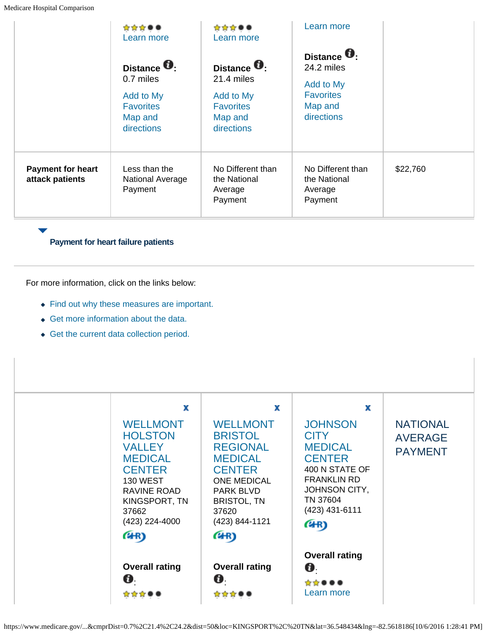|                                             | ☆☆☆●●<br>Learn more                                                                        | ☆☆☆●●<br>Learn more                                                                       | Learn more                                                                                  |          |
|---------------------------------------------|--------------------------------------------------------------------------------------------|-------------------------------------------------------------------------------------------|---------------------------------------------------------------------------------------------|----------|
|                                             | Distance <b>O</b> :<br>0.7 miles<br>Add to My<br><b>Favorites</b><br>Map and<br>directions | Distance <b>U</b><br>21.4 miles<br>Add to My<br><b>Favorites</b><br>Map and<br>directions | Distance <b>O</b> :<br>24.2 miles<br>Add to My<br><b>Favorites</b><br>Map and<br>directions |          |
| <b>Payment for heart</b><br>attack patients | Less than the<br><b>National Average</b><br>Payment                                        | No Different than<br>the National<br>Average<br>Payment                                   | No Different than<br>the National<br>Average<br>Payment                                     | \$22,760 |

### **Payment for heart failure patients**

- Find out why these measures are important.
- Get more information about the data.
- Get the current data collection period.

| <b>WELLMONT</b><br><b>HOLSTON</b><br><b>VALLEY</b><br><b>MEDICAL</b><br><b>CENTER</b><br><b>130 WEST</b><br>RAVINE ROAD<br>KINGSPORT, TN<br>37662<br>(423) 224-4000 | <b>WELLMONT</b><br><b>BRISTOL</b><br><b>REGIONAL</b><br><b>MEDICAL</b><br><b>CENTER</b><br><b>ONE MEDICAL</b><br><b>PARK BLVD</b><br><b>BRISTOL, TN</b><br>37620<br>(423) 844-1121 | <b>JOHNSON</b><br><b>CITY</b><br><b>MEDICAL</b><br><b>CENTER</b><br>400 N STATE OF<br><b>FRANKLIN RD</b><br><b>JOHNSON CITY,</b><br>TN 37604<br>$(423)$ 431-6111<br>(4R) | <b>NATIONAL</b><br><b>AVERAGE</b><br><b>PAYMENT</b> |
|---------------------------------------------------------------------------------------------------------------------------------------------------------------------|------------------------------------------------------------------------------------------------------------------------------------------------------------------------------------|--------------------------------------------------------------------------------------------------------------------------------------------------------------------------|-----------------------------------------------------|
| (4R)<br><b>Overall rating</b><br>Ø.                                                                                                                                 | (4R)<br><b>Overall rating</b><br>Ø.<br>☆☆☆(                                                                                                                                        | <b>Overall rating</b><br>$\boldsymbol{\theta}$<br>Learn more                                                                                                             |                                                     |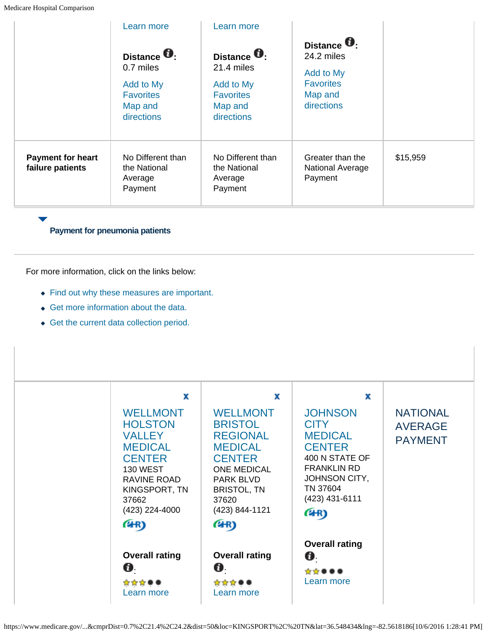|                                              | Learn more                                                                               | Learn more                                                                                |                                                                                             |          |
|----------------------------------------------|------------------------------------------------------------------------------------------|-------------------------------------------------------------------------------------------|---------------------------------------------------------------------------------------------|----------|
|                                              | Distance <b>0</b><br>0.7 miles<br>Add to My<br><b>Favorites</b><br>Map and<br>directions | Distance <b>O</b><br>21.4 miles<br>Add to My<br><b>Favorites</b><br>Map and<br>directions | Distance <b>O</b> .<br>24.2 miles<br>Add to My<br><b>Favorites</b><br>Map and<br>directions |          |
| <b>Payment for heart</b><br>failure patients | No Different than<br>the National<br>Average<br>Payment                                  | No Different than<br>the National<br>Average<br>Payment                                   | Greater than the<br><b>National Average</b><br>Payment                                      | \$15,959 |

**Payment for pneumonia patients**

For more information, click on the links below:

- Find out why these measures are important.
- Get more information about the data.
- Get the current data collection period.



https://www.medicare.gov/...&cmprDist=0.7%2C21.4%2C24.2&dist=50&loc=KINGSPORT%2C%20TN&lat=36.548434&lng=-82.5618186[10/6/2016 1:28:41 PM]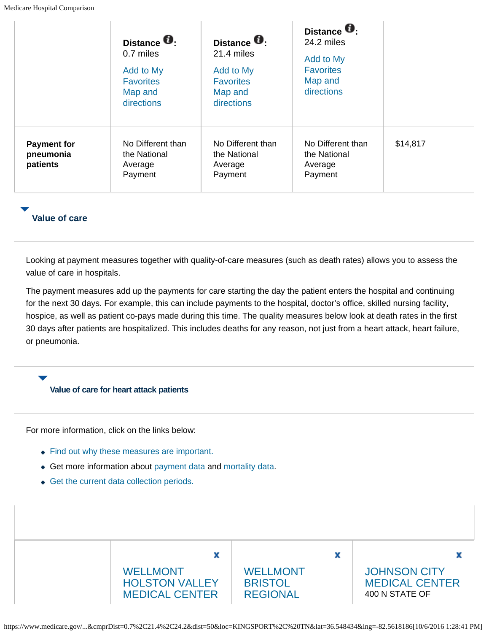|                                             | Distance <b>O</b><br>0.7 miles<br>Add to My<br><b>Favorites</b><br>Map and<br>directions | Distance <b>O</b> :<br>21.4 miles<br>Add to My<br><b>Favorites</b><br>Map and<br>directions | Distance <b>O</b> :<br>24.2 miles<br>Add to My<br><b>Favorites</b><br>Map and<br>directions |          |
|---------------------------------------------|------------------------------------------------------------------------------------------|---------------------------------------------------------------------------------------------|---------------------------------------------------------------------------------------------|----------|
| <b>Payment for</b><br>pneumonia<br>patients | No Different than<br>the National<br>Average<br>Payment                                  | No Different than<br>the National<br>Average<br>Payment                                     | No Different than<br>the National<br>Average<br>Payment                                     | \$14,817 |

### **Value of care**

Looking at payment measures together with quality-of-care measures (such as death rates) allows you to assess the value of care in hospitals.

The payment measures add up the payments for care starting the day the patient enters the hospital and continuing for the next 30 days. For example, this can include payments to the hospital, doctor's office, skilled nursing facility, hospice, as well as patient co-pays made during this time. The quality measures below look at death rates in the first 30 days after patients are hospitalized. This includes deaths for any reason, not just from a heart attack, heart failure, or pneumonia.

#### **Value of care for heart attack patients**

For more information, click on the links below:

- Find out why these measures are important.
- Get more information about payment data and mortality data.
- Get the current data collection periods.



https://www.medicare.gov/...&cmprDist=0.7%2C21.4%2C24.2&dist=50&loc=KINGSPORT%2C%20TN&lat=36.548434&lng=-82.5618186[10/6/2016 1:28:41 PM]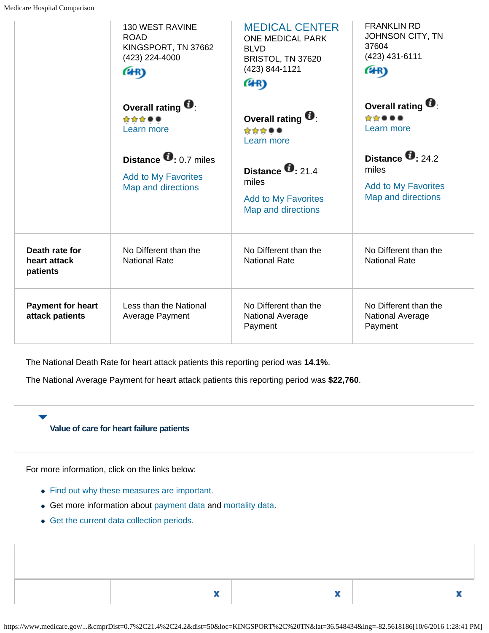|                                             | <b>130 WEST RAVINE</b><br><b>ROAD</b><br>KINGSPORT, TN 37662<br>(423) 224-4000<br>(4R) | <b>MEDICAL CENTER</b><br><b>ONE MEDICAL PARK</b><br><b>BLVD</b><br>BRISTOL, TN 37620<br>(423) 844-1121<br>(4R) | <b>FRANKLIN RD</b><br>JOHNSON CITY, TN<br>37604<br>(423) 431-6111<br>(4R)              |
|---------------------------------------------|----------------------------------------------------------------------------------------|----------------------------------------------------------------------------------------------------------------|----------------------------------------------------------------------------------------|
|                                             | Overall rating $\blacksquare$<br>☆☆☆●●<br>Learn more                                   | Overall rating $\blacksquare$<br>☆☆☆●●<br>Learn more                                                           | Overall rating $\blacksquare$<br>*****<br>Learn more                                   |
|                                             | Distance $\bullet$ 0.7 miles<br><b>Add to My Favorites</b><br>Map and directions       | Distance $\mathbf{0}$ : 21.4<br>miles<br><b>Add to My Favorites</b><br>Map and directions                      | Distance $\bullet$ : 24.2<br>miles<br><b>Add to My Favorites</b><br>Map and directions |
| Death rate for<br>heart attack<br>patients  | No Different than the<br><b>National Rate</b>                                          | No Different than the<br><b>National Rate</b>                                                                  | No Different than the<br><b>National Rate</b>                                          |
| <b>Payment for heart</b><br>attack patients | Less than the National<br>Average Payment                                              | No Different than the<br><b>National Average</b><br>Payment                                                    | No Different than the<br><b>National Average</b><br>Payment                            |

The National Death Rate for heart attack patients this reporting period was **14.1%**.

The National Average Payment for heart attack patients this reporting period was **\$22,760**.

### **Value of care for heart failure patients**

For more information, click on the links below:

- Find out why these measures are important.
- Get more information about payment data and mortality data.
- Get the current data collection periods.

X

X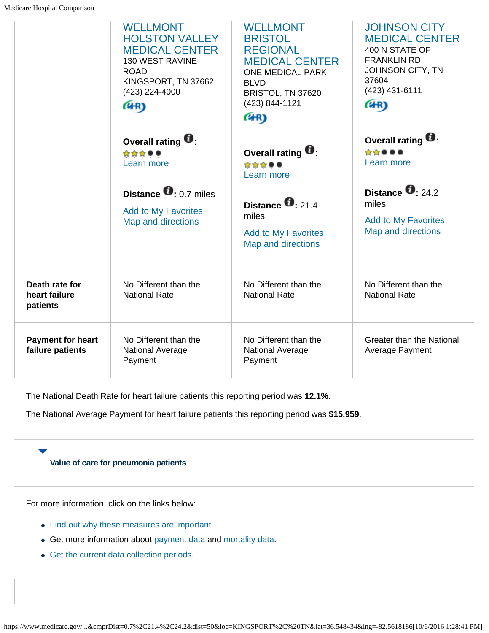|                                              | <b>WELLMONT</b><br><b>HOLSTON VALLEY</b><br><b>MEDICAL CENTER</b><br>130 WEST RAVINE<br><b>ROAD</b><br>KINGSPORT, TN 37662<br>(423) 224-4000<br>(4R) | <b>WELLMONT</b><br><b>BRISTOL</b><br><b>REGIONAL</b><br><b>MEDICAL CENTER</b><br>ONE MEDICAL PARK<br><b>BLVD</b><br>BRISTOL, TN 37620<br>(423) 844-1121<br>(4R) | <b>JOHNSON CITY</b><br><b>MEDICAL CENTER</b><br>400 N STATE OF<br><b>FRANKLIN RD</b><br>JOHNSON CITY, TN<br>37604<br>(423) 431-6111<br>(4R) |
|----------------------------------------------|------------------------------------------------------------------------------------------------------------------------------------------------------|-----------------------------------------------------------------------------------------------------------------------------------------------------------------|---------------------------------------------------------------------------------------------------------------------------------------------|
|                                              | Overall rating <sup>1</sup><br>☆☆☆●●<br>Learn more                                                                                                   | Overall rating $\blacksquare$<br>☆☆☆●●<br>Learn more                                                                                                            | Overall rating $\blacksquare$<br>☆☆●●●<br>Learn more                                                                                        |
|                                              | Distance $\bullet$ 0.7 miles<br><b>Add to My Favorites</b><br>Map and directions                                                                     | Distance $\bullet$ 21.4<br>miles<br><b>Add to My Favorites</b><br>Map and directions                                                                            | Distance $\bullet$ 24.2<br>miles<br><b>Add to My Favorites</b><br>Map and directions                                                        |
| Death rate for<br>heart failure<br>patients  | No Different than the<br><b>National Rate</b>                                                                                                        | No Different than the<br><b>National Rate</b>                                                                                                                   | No Different than the<br><b>National Rate</b>                                                                                               |
| <b>Payment for heart</b><br>failure patients | No Different than the<br>National Average<br>Payment                                                                                                 | No Different than the<br>National Average<br>Payment                                                                                                            | <b>Greater than the National</b><br>Average Payment                                                                                         |

The National Death Rate for heart failure patients this reporting period was **12.1%**.

The National Average Payment for heart failure patients this reporting period was **\$15,959**.

### **Value of care for pneumonia patients**

- Find out why these measures are important.
- Get more information about payment data and mortality data.
- Get the current data collection periods.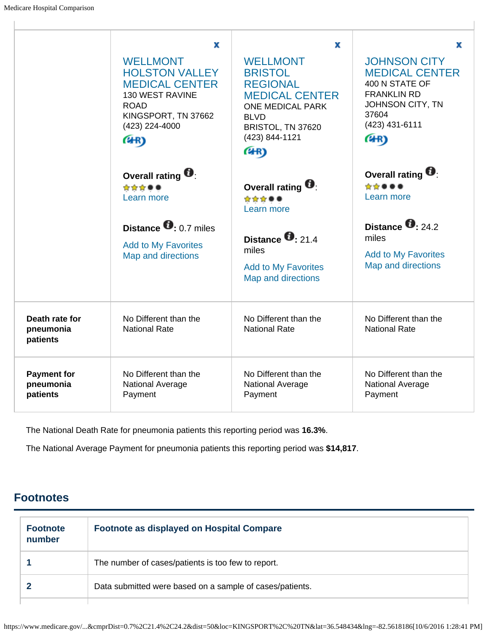$\overline{1}$ 

|                                             | x<br><b>WELLMONT</b><br><b>HOLSTON VALLEY</b><br><b>MEDICAL CENTER</b><br>130 WEST RAVINE<br><b>ROAD</b><br>KINGSPORT, TN 37662<br>(423) 224-4000<br>(4R) | x<br><b>WELLMONT</b><br><b>BRISTOL</b><br><b>REGIONAL</b><br><b>MEDICAL CENTER</b><br><b>ONE MEDICAL PARK</b><br><b>BLVD</b><br>BRISTOL, TN 37620<br>(423) 844-1121<br>(4R) | x<br><b>JOHNSON CITY</b><br><b>MEDICAL CENTER</b><br>400 N STATE OF<br><b>FRANKLIN RD</b><br>JOHNSON CITY, TN<br>37604<br>(423) 431-6111<br>(4R) |
|---------------------------------------------|-----------------------------------------------------------------------------------------------------------------------------------------------------------|-----------------------------------------------------------------------------------------------------------------------------------------------------------------------------|--------------------------------------------------------------------------------------------------------------------------------------------------|
|                                             | Overall rating <b>U</b> :<br>☆☆☆●●<br>Learn more<br>Distance $\bullet$ : 0.7 miles<br><b>Add to My Favorites</b><br>Map and directions                    | Overall rating $\blacksquare$<br>☆☆☆●●<br>Learn more<br>Distance $\mathbf{0}$ : 21.4<br>miles<br><b>Add to My Favorites</b><br>Map and directions                           | Overall rating $\blacksquare$<br>☆☆●↓<br>Learn more<br>Distance $\bullet$ : 24.2<br>miles<br><b>Add to My Favorites</b><br>Map and directions    |
| Death rate for<br>pneumonia<br>patients     | No Different than the<br><b>National Rate</b>                                                                                                             | No Different than the<br><b>National Rate</b>                                                                                                                               | No Different than the<br><b>National Rate</b>                                                                                                    |
| <b>Payment for</b><br>pneumonia<br>patients | No Different than the<br><b>National Average</b><br>Payment                                                                                               | No Different than the<br><b>National Average</b><br>Payment                                                                                                                 | No Different than the<br>National Average<br>Payment                                                                                             |

The National Death Rate for pneumonia patients this reporting period was **16.3%**.

The National Average Payment for pneumonia patients this reporting period was **\$14,817**.

# **Footnotes**

| <b>Footnote</b><br>number | <b>Footnote as displayed on Hospital Compare</b>         |
|---------------------------|----------------------------------------------------------|
|                           | The number of cases/patients is too few to report.       |
|                           | Data submitted were based on a sample of cases/patients. |